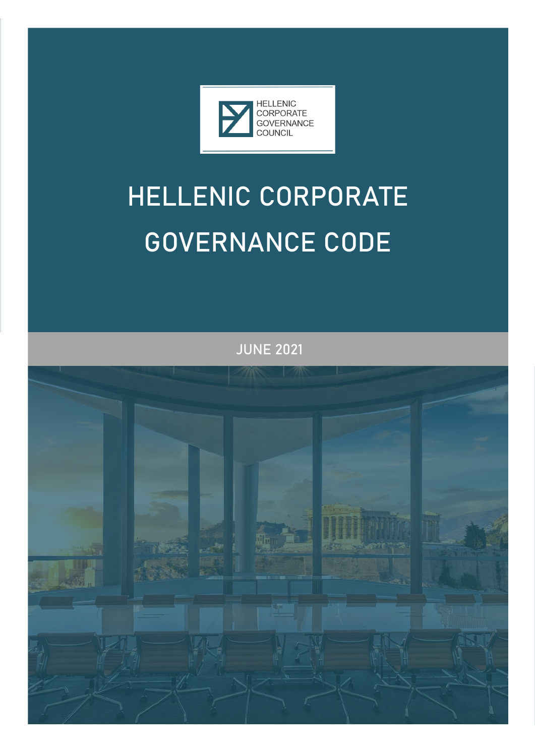

### **HELLENIC CORPORATE GOVERNANCE CODE**

**JUNE 2021** 

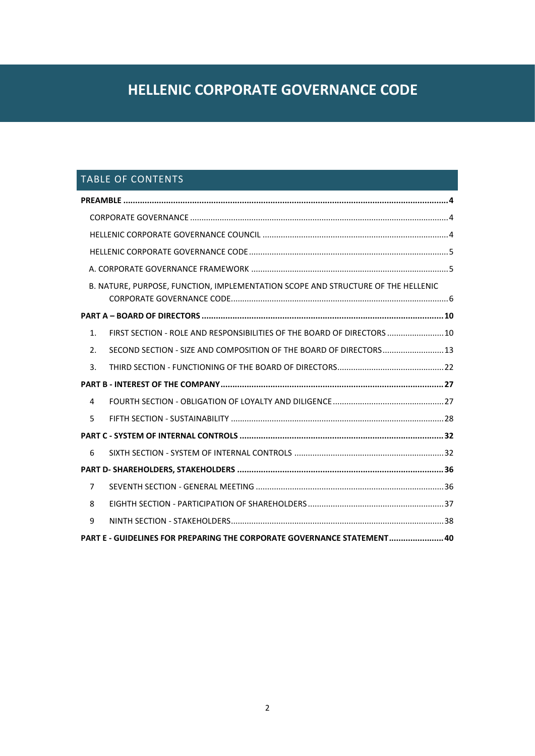### **HELLENIC CORPORATE GOVERNANCE CODE**

### TABLE OF CONTENTS

|                                                                         | B. NATURE, PURPOSE, FUNCTION, IMPLEMENTATION SCOPE AND STRUCTURE OF THE HELLENIC |
|-------------------------------------------------------------------------|----------------------------------------------------------------------------------|
|                                                                         |                                                                                  |
| 1 <sub>1</sub>                                                          | FIRST SECTION - ROLE AND RESPONSIBILITIES OF THE BOARD OF DIRECTORS  10          |
| 2.                                                                      | SECOND SECTION - SIZE AND COMPOSITION OF THE BOARD OF DIRECTORS 13               |
| 3.                                                                      |                                                                                  |
|                                                                         |                                                                                  |
| 4                                                                       |                                                                                  |
| 5                                                                       |                                                                                  |
|                                                                         |                                                                                  |
| 6                                                                       |                                                                                  |
|                                                                         |                                                                                  |
| $\overline{7}$                                                          |                                                                                  |
| 8                                                                       |                                                                                  |
| 9                                                                       |                                                                                  |
| PART E - GUIDELINES FOR PREPARING THE CORPORATE GOVERNANCE STATEMENT 40 |                                                                                  |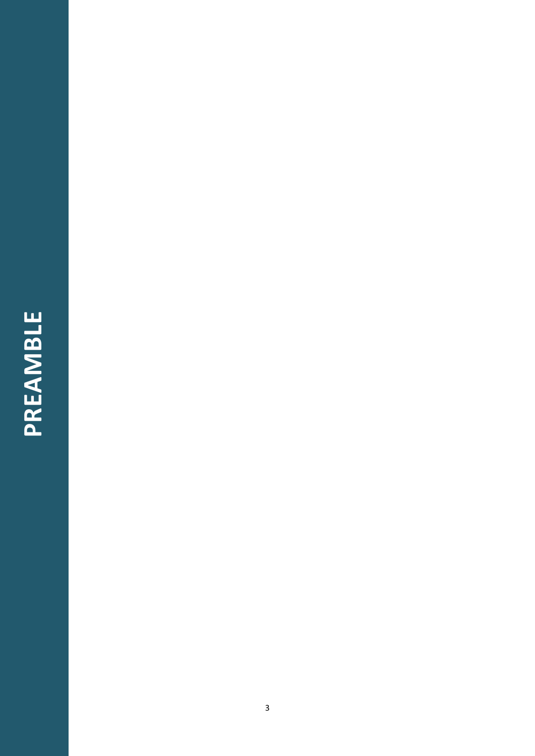### PREAMBLE **PREAMBLE**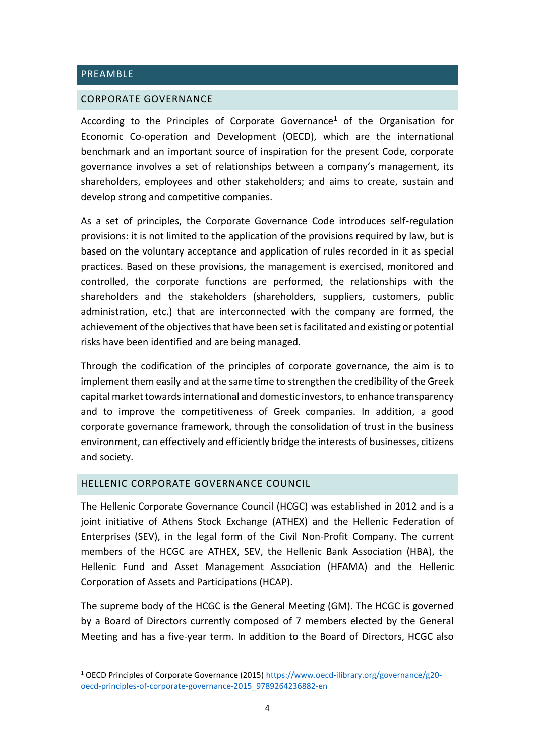### <span id="page-3-0"></span>PREAMBLE

### <span id="page-3-1"></span>CORPORATE GOVERNANCE

According to the Principles of Corporate Governance<sup>1</sup> of the Organisation for Economic Co-operation and Development (OECD), which are the international benchmark and an important source of inspiration for the present Code, corporate governance involves a set of relationships between a company's management, its shareholders, employees and other stakeholders; and aims to create, sustain and develop strong and competitive companies.

As a set of principles, the Corporate Governance Code introduces self-regulation provisions: it is not limited to the application of the provisions required by law, but is based on the voluntary acceptance and application of rules recorded in it as special practices. Based on these provisions, the management is exercised, monitored and controlled, the corporate functions are performed, the relationships with the shareholders and the stakeholders (shareholders, suppliers, customers, public administration, etc.) that are interconnected with the company are formed, the achievement of the objectives that have been set is facilitated and existing or potential risks have been identified and are being managed.

Through the codification of the principles of corporate governance, the aim is to implement them easily and at the same time to strengthen the credibility of the Greek capital market towards international and domestic investors, to enhance transparency and to improve the competitiveness of Greek companies. In addition, a good corporate governance framework, through the consolidation of trust in the business environment, can effectively and efficiently bridge the interests of businesses, citizens and society.

### <span id="page-3-2"></span>HELLENIC CORPORATE GOVERNANCE COUNCIL

The Hellenic Corporate Governance Council (HCGC) was established in 2012 and is a joint initiative of Athens Stock Exchange (ATHEX) and the Hellenic Federation of Enterprises (SEV), in the legal form of the Civil Non-Profit Company. The current members of the HCGC are ATHEX, SEV, the Hellenic Bank Association (HBA), the Hellenic Fund and Asset Management Association (HFAMA) and the Hellenic Corporation of Assets and Participations (HCAP).

The supreme body of the HCGC is the General Meeting (GM). The HCGC is governed by a Board of Directors currently composed of 7 members elected by the General Meeting and has a five-year term. In addition to the Board of Directors, HCGC also

<sup>1</sup> OECD Principles of Corporate Governance (2015) [https://www.oecd-ilibrary.org/governance/g20](https://www.oecd-ilibrary.org/governance/g20-oecd-principles-of-corporate-governance-2015_9789264236882-en) [oecd-principles-of-corporate-governance-2015\\_9789264236882-en](https://www.oecd-ilibrary.org/governance/g20-oecd-principles-of-corporate-governance-2015_9789264236882-en)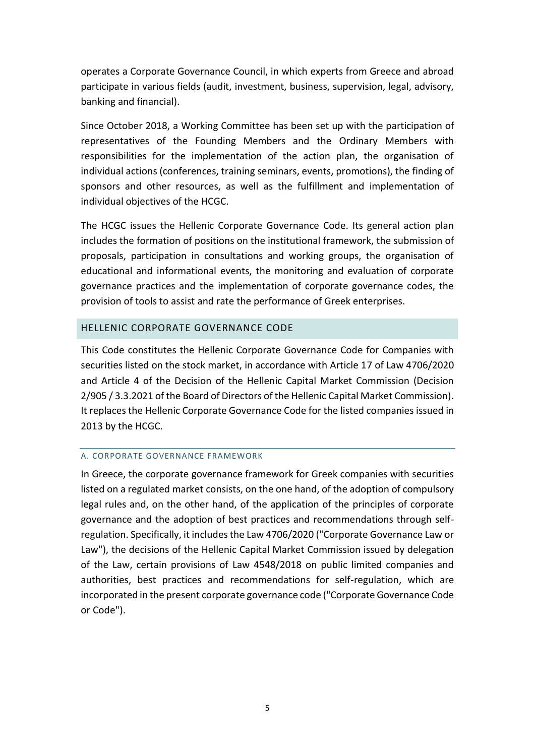operates a Corporate Governance Council, in which experts from Greece and abroad participate in various fields (audit, investment, business, supervision, legal, advisory, banking and financial).

Since October 2018, a Working Committee has been set up with the participation of representatives of the Founding Members and the Ordinary Members with responsibilities for the implementation of the action plan, the organisation of individual actions (conferences, training seminars, events, promotions), the finding of sponsors and other resources, as well as the fulfillment and implementation of individual objectives of the HCGC.

The HCGC issues the Hellenic Corporate Governance Code. Its general action plan includes the formation of positions on the institutional framework, the submission of proposals, participation in consultations and working groups, the organisation of educational and informational events, the monitoring and evaluation of corporate governance practices and the implementation of corporate governance codes, the provision of tools to assist and rate the performance of Greek enterprises.

### <span id="page-4-0"></span>HELLENIC CORPORATE GOVERNANCE CODE

This Code constitutes the Hellenic Corporate Governance Code for Companies with securities listed on the stock market, in accordance with Article 17 of Law 4706/2020 and Article 4 of the Decision of the Hellenic Capital Market Commission (Decision 2/905 / 3.3.2021 of the Board of Directors of the Hellenic Capital Market Commission). It replaces the Hellenic Corporate Governance Code for the listed companies issued in 2013 by the HCGC.

### <span id="page-4-1"></span>A. CORPORATE GOVERNANCE FRAMEWORK

In Greece, the corporate governance framework for Greek companies with securities listed on a regulated market consists, on the one hand, of the adoption of compulsory legal rules and, on the other hand, of the application of the principles of corporate governance and the adoption of best practices and recommendations through selfregulation. Specifically, it includes the Law 4706/2020 ("Corporate Governance Law or Law"), the decisions of the Hellenic Capital Market Commission issued by delegation of the Law, certain provisions of Law 4548/2018 on public limited companies and authorities, best practices and recommendations for self-regulation, which are incorporated in the present corporate governance code ("Corporate Governance Code or Code").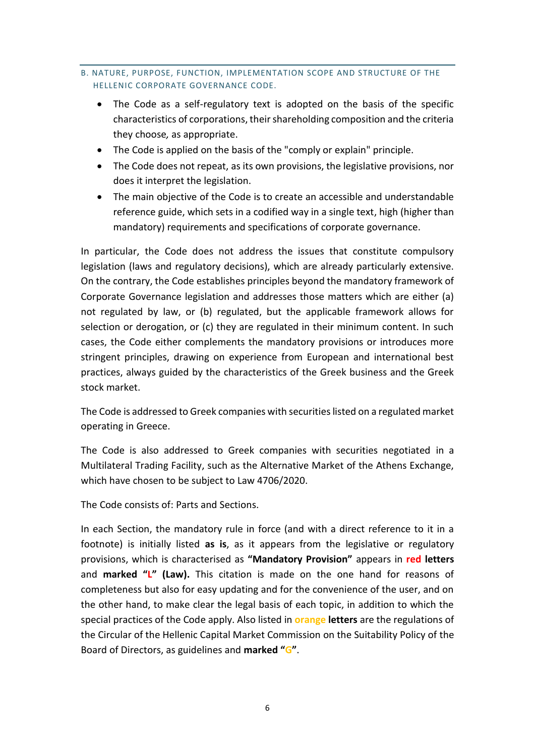### <span id="page-5-0"></span>B. NATURE, PURPOSE, FUNCTION, IMPLEMENTATION SCOPE AND STRUCTURE OF THE HELLENIC CORPORATE GOVERNANCE CODE.

- The Code as a self-regulatory text is adopted on the basis of the specific characteristics of corporations, their shareholding composition and the criteria they choose*,* as appropriate.
- The Code is applied on the basis of the "comply or explain" principle.
- The Code does not repeat, as its own provisions, the legislative provisions, nor does it interpret the legislation.
- The main objective of the Code is to create an accessible and understandable reference guide, which sets in a codified way in a single text, high (higher than mandatory) requirements and specifications of corporate governance.

In particular, the Code does not address the issues that constitute compulsory legislation (laws and regulatory decisions), which are already particularly extensive. On the contrary, the Code establishes principles beyond the mandatory framework of Corporate Governance legislation and addresses those matters which are either (a) not regulated by law, or (b) regulated, but the applicable framework allows for selection or derogation, or (c) they are regulated in their minimum content. In such cases, the Code either complements the mandatory provisions or introduces more stringent principles, drawing on experience from European and international best practices, always guided by the characteristics of the Greek business and the Greek stock market.

The Code is addressed to Greek companies with securities listed on a regulated market operating in Greece.

The Code is also addressed to Greek companies with securities negotiated in a Multilateral Trading Facility, such as the Alternative Market of the Athens Exchange, which have chosen to be subject to Law 4706/2020.

The Code consists of: Parts and Sections.

In each Section, the mandatory rule in force (and with a direct reference to it in a footnote) is initially listed **as is**, as it appears from the legislative or regulatory provisions, which is characterised as **"Mandatory Provision"** appears in **red letters**  and **marked "L" (Law).** This citation is made on the one hand for reasons of completeness but also for easy updating and for the convenience of the user, and on the other hand, to make clear the legal basis of each topic, in addition to which the special practices of the Code apply. Also listed in **orange letters** are the regulations of the Circular of the Hellenic Capital Market Commission on the Suitability Policy of the Board of Directors, as guidelines and **marked "G"**.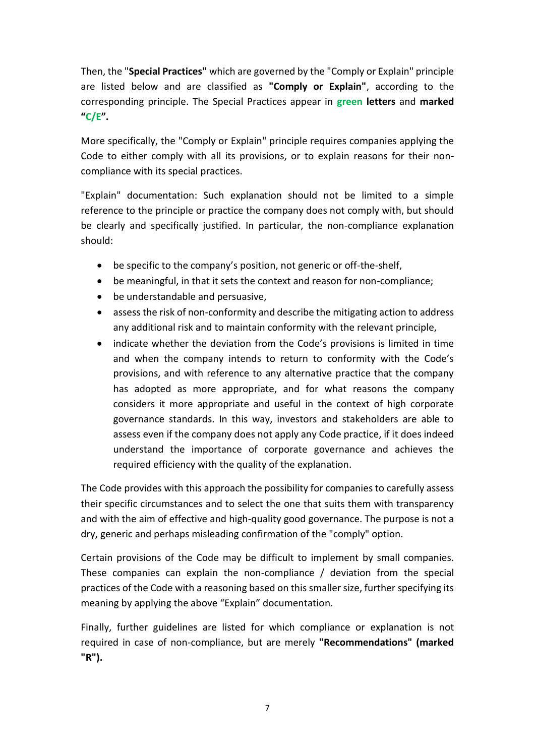Then, the "**Special Practices"** which are governed by the "Comply or Explain" principle are listed below and are classified as **"Comply or Explain"**, according to the corresponding principle. The Special Practices appear in **green letters** and **marked "C/E".** 

More specifically, the "Comply or Explain" principle requires companies applying the Code to either comply with all its provisions, or to explain reasons for their noncompliance with its special practices.

"Explain" documentation: Such explanation should not be limited to a simple reference to the principle or practice the company does not comply with, but should be clearly and specifically justified. In particular, the non-compliance explanation should:

- be specific to the company's position, not generic or off-the-shelf,
- be meaningful, in that it sets the context and reason for non-compliance;
- be understandable and persuasive,
- assess the risk of non-conformity and describe the mitigating action to address any additional risk and to maintain conformity with the relevant principle,
- indicate whether the deviation from the Code's provisions is limited in time and when the company intends to return to conformity with the Code's provisions, and with reference to any alternative practice that the company has adopted as more appropriate, and for what reasons the company considers it more appropriate and useful in the context of high corporate governance standards. In this way, investors and stakeholders are able to assess even if the company does not apply any Code practice, if it does indeed understand the importance of corporate governance and achieves the required efficiency with the quality of the explanation.

The Code provides with this approach the possibility for companies to carefully assess their specific circumstances and to select the one that suits them with transparency and with the aim of effective and high-quality good governance. The purpose is not a dry, generic and perhaps misleading confirmation of the "comply" option.

Certain provisions of the Code may be difficult to implement by small companies. These companies can explain the non-compliance / deviation from the special practices of the Code with a reasoning based on this smaller size, further specifying its meaning by applying the above "Explain" documentation.

Finally, further guidelines are listed for which compliance or explanation is not required in case of non-compliance, but are merely **"Recommendations" (marked "R").**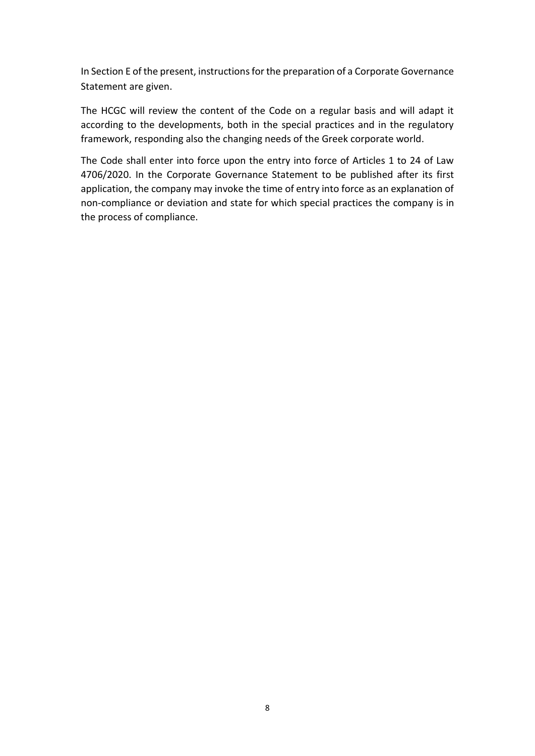I[n Section E](#page-39-0) of the present, instructions for the preparation of a Corporate Governance Statement are given.

The HCGC will review the content of the Code on a regular basis and will adapt it according to the developments, both in the special practices and in the regulatory framework, responding also the changing needs of the Greek corporate world.

The Code shall enter into force upon the entry into force of Articles 1 to 24 of Law 4706/2020. In the Corporate Governance Statement to be published after its first application, the company may invoke the time of entry into force as an explanation of non-compliance or deviation and state for which special practices the company is in the process of compliance.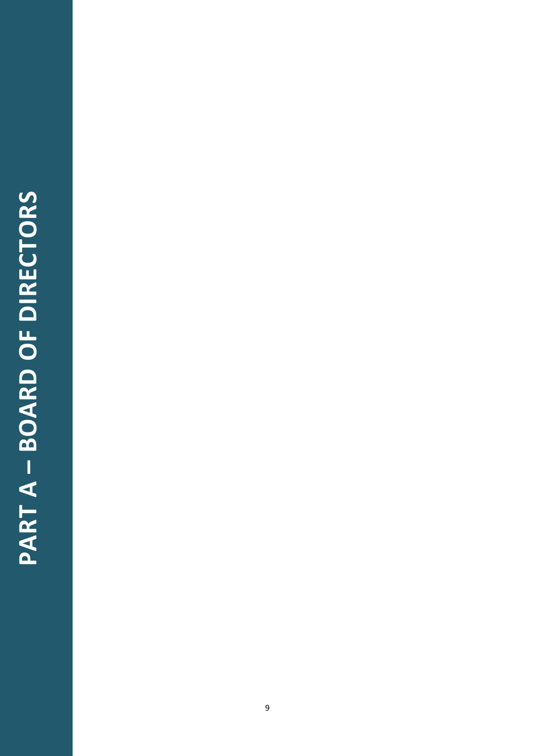### PART A - BOARD OF DIRECTORS **PART A – BOARD OF DIRECTORS**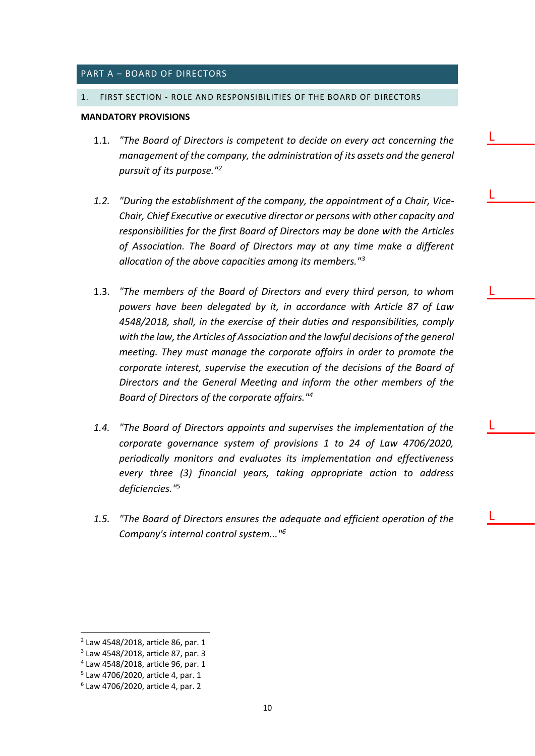### <span id="page-9-0"></span>PART A – BOARD OF DIRECTORS

### <span id="page-9-1"></span>1. FIRST SECTION - ROLE AND RESPONSIBILITIES OF THE BOARD OF DIRECTORS

### **MANDATORY PROVISIONS**

- 1.1. *"The Board of Directors is competent to decide on every act concerning the management of the company, the administration of its assets and the general pursuit of its purpose."<sup>2</sup>*
- *1.2. "During the establishment of the company, the appointment of a Chair, Vice-Chair, Chief Executive or executive director or persons with other capacity and responsibilities for the first Board of Directors may be done with the Articles of Association. The Board of Directors may at any time make a different allocation of the above capacities among its members."<sup>3</sup>*
- 1.3. *"The members of the Board of Directors and every third person, to whom powers have been delegated by it, in accordance with Article 87 of Law 4548/2018, shall, in the exercise of their duties and responsibilities, comply with the law, the Articles of Association and the lawful decisions of the general meeting. They must manage the corporate affairs in order to promote the corporate interest, supervise the execution of the decisions of the Board of Directors and the General Meeting and inform the other members of the Board of Directors of the corporate affairs."<sup>4</sup>*

L

L

L

L

L

- *1.4. "The Board of Directors appoints and supervises the implementation of the corporate governance system of provisions 1 to 24 of Law 4706/2020, periodically monitors and evaluates its implementation and effectiveness every three (3) financial years, taking appropriate action to address deficiencies."<sup>5</sup>*
- *1.5. "The Board of Directors ensures the adequate and efficient operation of the Company's internal control system..."<sup>6</sup>*

<sup>2</sup> Law 4548/2018, article 86, par. 1

<sup>3</sup> Law 4548/2018, article 87, par. 3

<sup>4</sup> Law 4548/2018, article 96, par. 1

<sup>5</sup> Law 4706/2020, article 4, par. 1

<sup>6</sup> Law 4706/2020, article 4, par. 2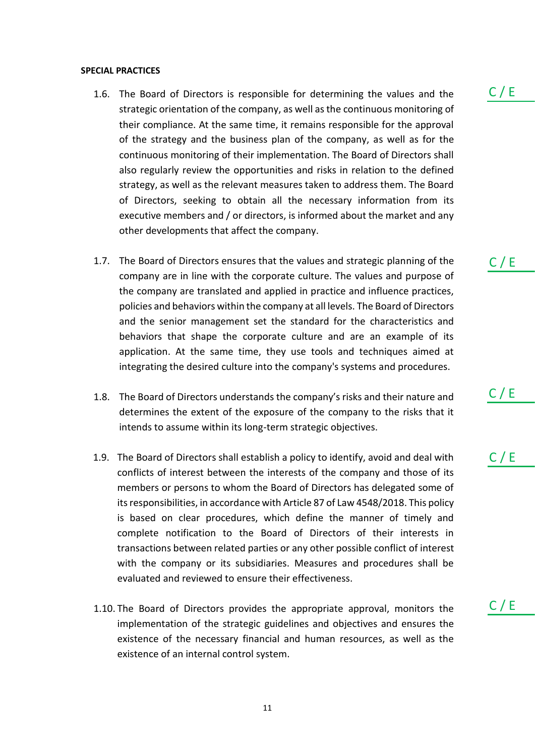### **SPECIAL PRACTICES**

- 1.6. The Board of Directors is responsible for determining the values and the strategic orientation of the company, as well as the continuous monitoring of their compliance. At the same time, it remains responsible for the approval of the strategy and the business plan of the company, as well as for the continuous monitoring of their implementation. The Board of Directors shall also regularly review the opportunities and risks in relation to the defined strategy, as well as the relevant measures taken to address them. The Board of Directors, seeking to obtain all the necessary information from its executive members and / or directors, is informed about the market and any other developments that affect the company.
- 1.7. The Board of Directors ensures that the values and strategic planning of the company are in line with the corporate culture. The values and purpose of the company are translated and applied in practice and influence practices, policies and behaviors within the company at all levels. The Board of Directors and the senior management set the standard for the characteristics and behaviors that shape the corporate culture and are an example of its application. At the same time, they use tools and techniques aimed at integrating the desired culture into the company's systems and procedures.
- 1.8. The Board of Directors understands the company's risks and their nature and determines the extent of the exposure of the company to the risks that it intends to assume within its long-term strategic objectives.
- 1.9. The Board of Directors shall establish a policy to identify, avoid and deal with conflicts of interest between the interests of the company and those of its members or persons to whom the Board of Directors has delegated some of its responsibilities, in accordance with Article 87 of Law 4548/2018. This policy is based on clear procedures, which define the manner of timely and complete notification to the Board of Directors of their interests in transactions between related parties or any other possible conflict of interest with the company or its subsidiaries. Measures and procedures shall be evaluated and reviewed to ensure their effectiveness.
- 1.10. The Board of Directors provides the appropriate approval, monitors the implementation of the strategic guidelines and objectives and ensures the existence of the necessary financial and human resources, as well as the existence of an internal control system.

 $C / E$ 

C / E

 $C / E$ 

 $C / E$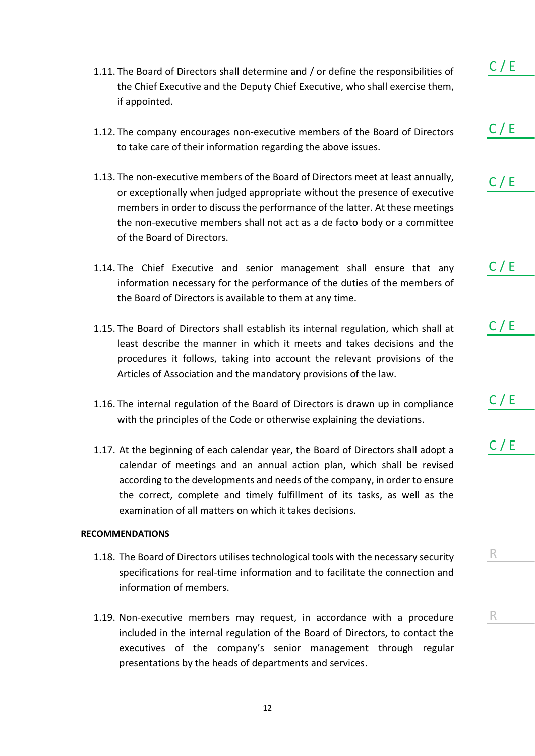- 1.11. The Board of Directors shall determine and / or define the responsibilities of the Chief Executive and the Deputy Chief Executive, who shall exercise them, if appointed.
- 1.12. The company encourages non-executive members of the Board of Directors to take care of their information regarding the above issues.
- 1.13. The non-executive members of the Board of Directors meet at least annually, or exceptionally when judged appropriate without the presence of executive members in order to discuss the performance of the latter. At these meetings the non-executive members shall not act as a de facto body or a committee of the Board of Directors.
- 1.14. The Chief Executive and senior management shall ensure that any information necessary for the performance of the duties of the members of the Board of Directors is available to them at any time.
- 1.15. The Board of Directors shall establish its internal regulation, which shall at least describe the manner in which it meets and takes decisions and the procedures it follows, taking into account the relevant provisions of the Articles of Association and the mandatory provisions of the law.
- 1.16. The internal regulation of the Board of Directors is drawn up in compliance with the principles of the Code or otherwise explaining the deviations.
- 1.17. At the beginning of each calendar year, the Board of Directors shall adopt a calendar of meetings and an annual action plan, which shall be revised according to the developments and needs of the company, in order to ensure the correct, complete and timely fulfillment of its tasks, as well as the examination of all matters on which it takes decisions.

### **RECOMMENDATIONS**

- 1.18. The Board of Directors utilises technological tools with the necessary security specifications for real-time information and to facilitate the connection and information of members.
- 1.19. Non-executive members may request, in accordance with a procedure included in the internal regulation of the Board of Directors, to contact the executives of the company's senior management through regular presentations by the heads of departments and services.

 $C / E$ 

 $C / E$ 

 $C / E$ 

 $C / E$ 

 $C / E$ 

 $C / E$ 

 $C / E$ 

R

R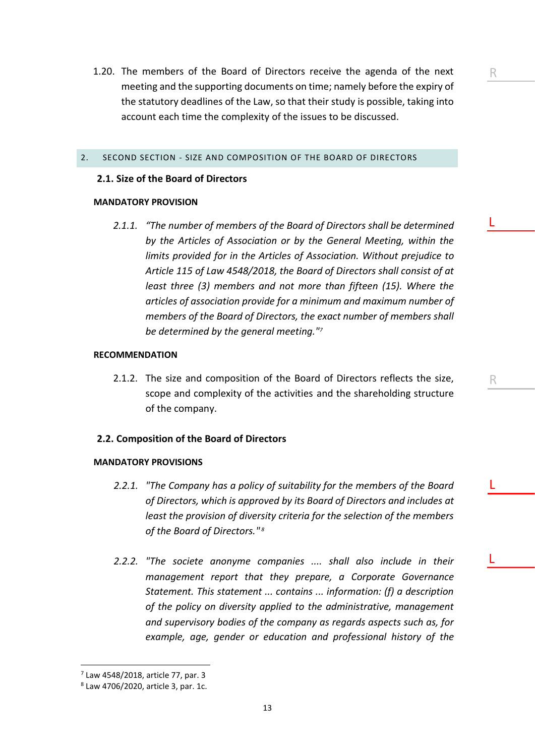1.20. The members of the Board of Directors receive the agenda of the next meeting and the supporting documents on time; namely before the expiry of the statutory deadlines of the Law, so that their study is possible, taking into account each time the complexity of the issues to be discussed.

### <span id="page-12-0"></span>2. SECOND SECTION - SIZE AND COMPOSITION OF THE BOARD OF DIRECTORS

### **2.1. Size of the Board of Directors**

### **MANDATORY PROVISION**

*2.1.1. "The number of members of the Board of Directors shall be determined by the Articles of Association or by the General Meeting, within the limits provided for in the Articles of Association. Without prejudice to Article 115 of Law 4548/2018, the Board of Directors shall consist of at least three (3) members and not more than fifteen (15). Where the articles of association provide for a minimum and maximum number of members of the Board of Directors, the exact number of members shall be determined by the general meeting."<sup>7</sup>*

L

R

R

L

L

### **RECOMMENDATION**

2.1.2. The size and composition of the Board of Directors reflects the size, scope and complexity of the activities and the shareholding structure of the company.

### **2.2. Composition of the Board of Directors**

### **MANDATORY PROVISIONS**

- *2.2.1. "The Company has a policy of suitability for the members of the Board of Directors, which is approved by its Board of Directors and includes at least the provision of diversity criteria for the selection of the members of the Board of Directors." 8*
- *2.2.2. "The societe anonyme companies .... shall also include in their management report that they prepare, a Corporate Governance Statement. This statement ... contains ... information: (f) a description of the policy on diversity applied to the administrative, management and supervisory bodies of the company as regards aspects such as, for example, age, gender or education and professional history of the*

13

<sup>7</sup> Law 4548/2018, article 77, par. 3

<sup>8</sup> Law 4706/2020, article 3, par. 1c.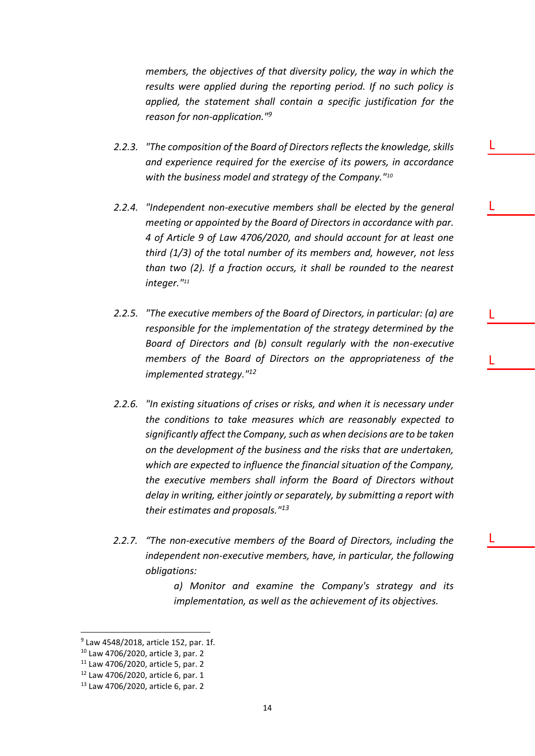*members, the objectives of that diversity policy, the way in which the results were applied during the reporting period. If no such policy is applied, the statement shall contain a specific justification for the reason for non-application."<sup>9</sup>*

- *2.2.3. "The composition of the Board of Directors reflects the knowledge, skills and experience required for the exercise of its powers, in accordance with the business model and strategy of the Company."<sup>10</sup>*
- *2.2.4. "Independent non-executive members shall be elected by the general meeting or appointed by the Board of Directors in accordance with par. 4 of Article 9 of Law 4706/2020, and should account for at least one third (1/3) of the total number of its members and, however, not less than two (2). If a fraction occurs, it shall be rounded to the nearest integer."<sup>11</sup>*
- *2.2.5. "The executive members of the Board of Directors, in particular: (a) are responsible for the implementation of the strategy determined by the Board of Directors and (b) consult regularly with the non-executive members of the Board of Directors on the appropriateness of the implemented strategy."<sup>12</sup>*
- *2.2.6. "In existing situations of crises or risks, and when it is necessary under the conditions to take measures which are reasonably expected to significantly affect the Company, such as when decisions are to be taken on the development of the business and the risks that are undertaken, which are expected to influence the financial situation of the Company, the executive members shall inform the Board of Directors without delay in writing, either jointly or separately, by submitting a report with their estimates and proposals."<sup>13</sup>*
- *2.2.7. "The non-executive members of the Board of Directors, including the independent non-executive members, have, in particular, the following obligations:*

*a) Monitor and examine the Company's strategy and its implementation, as well as the achievement of its objectives.*

L

L

L

L

L

<sup>9</sup> Law 4548/2018, article 152, par. 1f.

<sup>10</sup> Law 4706/2020, article 3, par. 2

<sup>11</sup> Law 4706/2020, article 5, par. 2

<sup>12</sup> Law 4706/2020, article 6, par. 1

<sup>13</sup> Law 4706/2020, article 6, par. 2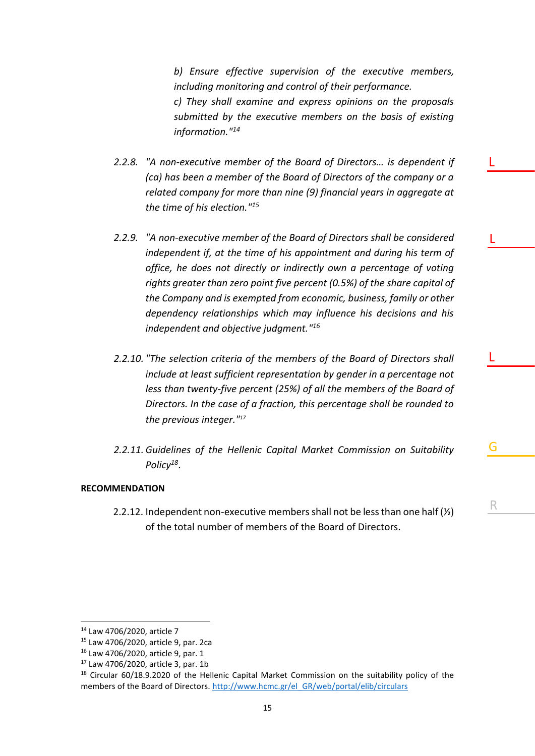*b) Ensure effective supervision of the executive members, including monitoring and control of their performance. c) They shall examine and express opinions on the proposals submitted by the executive members on the basis of existing information."<sup>14</sup>*

- *2.2.8. "A non-executive member of the Board of Directors… is dependent if (ca) has been a member of the Board of Directors of the company or a related company for more than nine (9) financial years in aggregate at the time of his election."<sup>15</sup>*
- *2.2.9. "A non-executive member of the Board of Directors shall be considered independent if, at the time of his appointment and during his term of office, he does not directly or indirectly own a percentage of voting rights greater than zero point five percent (0.5%) of the share capital of the Company and is exempted from economic, business, family or other dependency relationships which may influence his decisions and his independent and objective judgment." 16*
- *2.2.10. "The selection criteria of the members of the Board of Directors shall include at least sufficient representation by gender in a percentage not less than twenty-five percent (25%) of all the members of the Board of Directors. In the case of a fraction, this percentage shall be rounded to the previous integer."<sup>17</sup>*
- *2.2.11. Guidelines of the Hellenic Capital Market Commission on Suitability Policy<sup>18</sup>* .

G

L

R

L

L

### **RECOMMENDATION**

2.2.12. Independent non-executive members shall not be less than one half (½) of the total number of members of the Board of Directors.

<sup>14</sup> Law 4706/2020, article 7

<sup>15</sup> Law 4706/2020, article 9, par. 2ca

<sup>16</sup> Law 4706/2020, article 9, par. 1

<sup>17</sup> Law 4706/2020, article 3, par. 1b

<sup>&</sup>lt;sup>18</sup> Circular 60/18.9.2020 of the Hellenic Capital Market Commission on the suitability policy of the members of the Board of Directors. [http://www.hcmc.gr/el\\_GR/web/portal/elib/circulars](http://www.hcmc.gr/el_GR/web/portal/elib/circulars)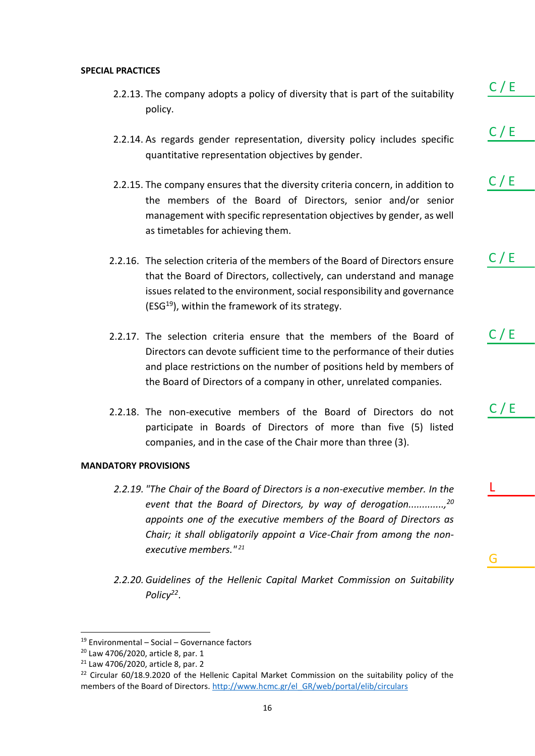### **SPECIAL PRACTICES**

- 2.2.13. The company adopts a policy of diversity that is part of the suitability policy.
- 2.2.14. As regards gender representation, diversity policy includes specific quantitative representation objectives by gender.
- 2.2.15. The company ensures that the diversity criteria concern, in addition to the members of the Board of Directors, senior and/or senior management with specific representation objectives by gender, as well as timetables for achieving them.
- 2.2.16. The selection criteria of the members of the Board of Directors ensure that the Board of Directors, collectively, can understand and manage issues related to the environment, social responsibility and governance (ESG $^{19}$ ), within the framework of its strategy.
- 2.2.17. The selection criteria ensure that the members of the Board of Directors can devote sufficient time to the performance of their duties and place restrictions on the number of positions held by members of the Board of Directors of a company in other, unrelated companies.
- 2.2.18. The non-executive members of the Board of Directors do not participate in Boards of Directors of more than five (5) listed companies, and in the case of the Chair more than three (3).

### **MANDATORY PROVISIONS**

- *2.2.19. "The Chair of the Board of Directors is a non-executive member. In the event that the Board of Directors, by way of derogation.............,<sup>20</sup> appoints one of the executive members of the Board of Directors as Chair; it shall obligatorily appoint a Vice-Chair from among the nonexecutive members." <sup>21</sup>*
- *2.2.20. Guidelines of the Hellenic Capital Market Commission on Suitability Policy<sup>22</sup>* .

 $C / E$ 

C / E

 $C / E$ 

 $C / E$ 

C / E

 $C / E$ 

G

L

<sup>19</sup> Environmental – Social – Governance factors

<sup>20</sup> Law 4706/2020, article 8, par. 1

<sup>21</sup> Law 4706/2020, article 8, par. 2

 $22$  Circular 60/18.9.2020 of the Hellenic Capital Market Commission on the suitability policy of the members of the Board of Directors. [http://www.hcmc.gr/el\\_GR/web/portal/elib/circulars](http://www.hcmc.gr/el_GR/web/portal/elib/circulars)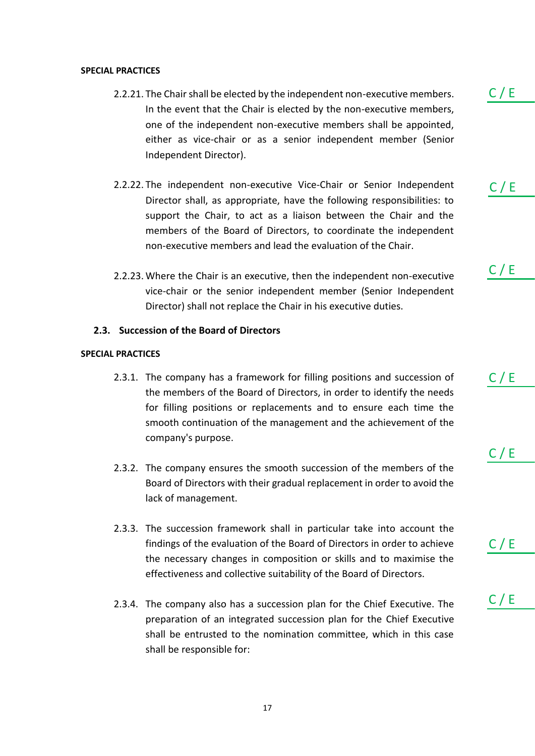### **SPECIAL PRACTICES**

- 2.2.21. The Chair shall be elected by the independent non-executive members. In the event that the Chair is elected by the non-executive members, one of the independent non-executive members shall be appointed, either as vice-chair or as a senior independent member (Senior Independent Director).
- 2.2.22. The independent non-executive Vice-Chair or Senior Independent Director shall, as appropriate, have the following responsibilities: to support the Chair, to act as a liaison between the Chair and the members of the Board of Directors, to coordinate the independent non-executive members and lead the evaluation of the Chair.
- 2.2.23. Where the Chair is an executive, then the independent non-executive vice-chair or the senior independent member (Senior Independent Director) shall not replace the Chair in his executive duties.

### **2.3. Succession of the Board of Directors**

### **SPECIAL PRACTICES**

- 2.3.1. The company has a framework for filling positions and succession of the members of the Board of Directors, in order to identify the needs for filling positions or replacements and to ensure each time the smooth continuation of the management and the achievement of the company's purpose.
- 2.3.2. The company ensures the smooth succession of the members of the Board of Directors with their gradual replacement in order to avoid the lack of management.
- 2.3.3. The succession framework shall in particular take into account the findings of the evaluation of the Board of Directors in order to achieve the necessary changes in composition or skills and to maximise the effectiveness and collective suitability of the Board of Directors.
- 2.3.4. The company also has a succession plan for the Chief Executive. The preparation of an integrated succession plan for the Chief Executive shall be entrusted to the nomination committee, which in this case shall be responsible for:

 $C / E$ 

 $C / E$ 

C / E

 $C / E$ 

 $C / E$ 

 $C / E$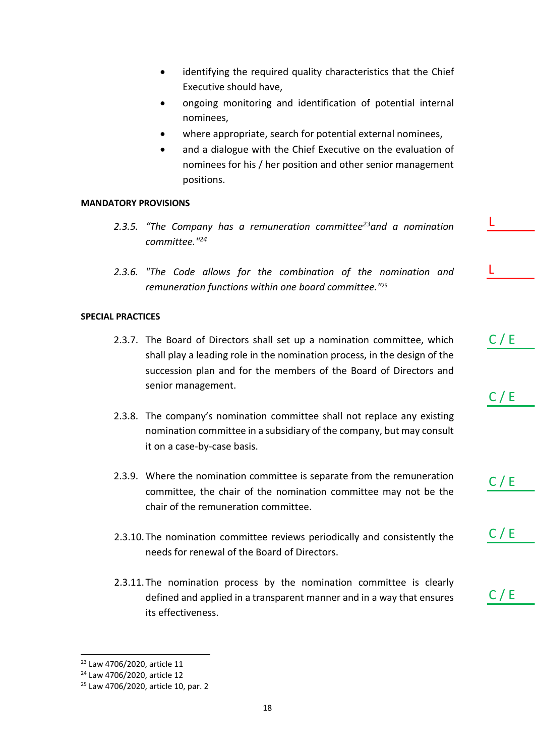- identifying the required quality characteristics that the Chief Executive should have,
- ongoing monitoring and identification of potential internal nominees,
- where appropriate, search for potential external nominees,
- and a dialogue with the Chief Executive on the evaluation of nominees for his / her position and other senior management positions.

L

L

 $C / E$ 

 $C / E$ 

C / E

 $C / E$ 

 $C / E$ 

### **MANDATORY PROVISIONS**

- *2.3.5. "The Company has a remuneration committee<sup>23</sup>and a nomination committee."<sup>24</sup>*
- *2.3.6. "The Code allows for the combination of the nomination and remuneration functions within one board committee."*<sup>25</sup>

### **SPECIAL PRACTICES**

- 2.3.7. The Board of Directors shall set up a nomination committee, which shall play a leading role in the nomination process, in the design of the succession plan and for the members of the Board of Directors and senior management.
- 2.3.8. The company's nomination committee shall not replace any existing nomination committee in a subsidiary of the company, but may consult it on a case-by-case basis.
- 2.3.9. Where the nomination committee is separate from the remuneration committee, the chair of the nomination committee may not be the chair of the remuneration committee.
- 2.3.10.The nomination committee reviews periodically and consistently the needs for renewal of the Board of Directors.
- 2.3.11.The nomination process by the nomination committee is clearly defined and applied in a transparent manner and in a way that ensures its effectiveness.

<sup>23</sup> Law 4706/2020, article 11

<sup>24</sup> Law 4706/2020, article 12

<sup>25</sup> Law 4706/2020, article 10, par. 2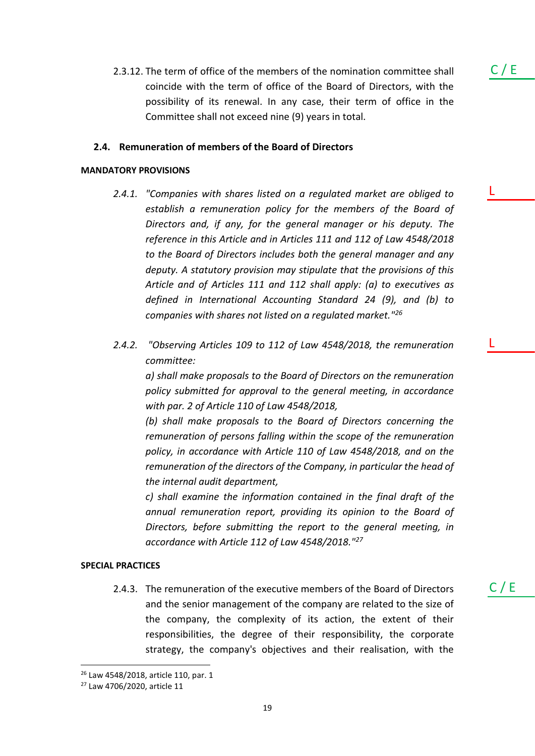2.3.12. The term of office of the members of the nomination committee shall coincide with the term of office of the Board of Directors, with the possibility of its renewal. In any case, their term of office in the Committee shall not exceed nine (9) years in total.

### **2.4. Remuneration of members of the Board of Directors**

### **MANDATORY PROVISIONS**

*2.4.1. "Companies with shares listed on a regulated market are obliged to establish a remuneration policy for the members of the Board of Directors and, if any, for the general manager or his deputy. The reference in this Article and in Articles 111 and 112 of Law 4548/2018 to the Board of Directors includes both the general manager and any deputy. A statutory provision may stipulate that the provisions of this Article and of Articles 111 and 112 shall apply: (a) to executives as defined in International Accounting Standard 24 (9), and (b) to companies with shares not listed on a regulated market."<sup>26</sup>*

L

C / E

L

 $C / E$ 

*2.4.2. "Observing Articles 109 to 112 of Law 4548/2018, the remuneration committee:*

*a) shall make proposals to the Board of Directors on the remuneration policy submitted for approval to the general meeting, in accordance with par. 2 of Article 110 of Law 4548/2018,*

*(b) shall make proposals to the Board of Directors concerning the remuneration of persons falling within the scope of the remuneration policy, in accordance with Article 110 of Law 4548/2018, and on the remuneration of the directors of the Company, in particular the head of the internal audit department,*

*c) shall examine the information contained in the final draft of the annual remuneration report, providing its opinion to the Board of Directors, before submitting the report to the general meeting, in accordance with Article 112 of Law 4548/2018."<sup>27</sup>*

### **SPECIAL PRACTICES**

2.4.3. The remuneration of the executive members of the Board of Directors and the senior management of the company are related to the size of the company, the complexity of its action, the extent of their responsibilities, the degree of their responsibility, the corporate strategy, the company's objectives and their realisation, with the

<sup>26</sup> Law 4548/2018, article 110, par. 1

<sup>27</sup> Law 4706/2020, article 11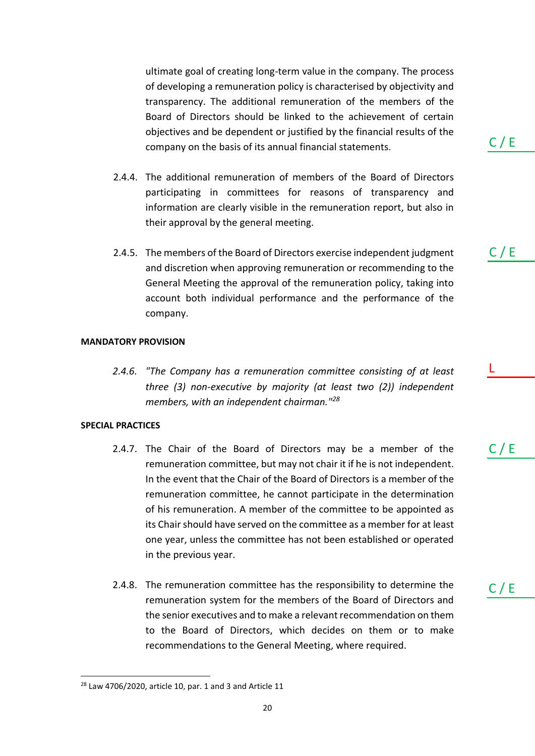ultimate goal of creating long-term value in the company. The process of developing a remuneration policy is characterised by objectivity and transparency. The additional remuneration of the members of the Board of Directors should be linked to the achievement of certain objectives and be dependent or justified by the financial results of the company on the basis of its annual financial statements.

- 2.4.4. The additional remuneration of members of the Board of Directors participating in committees for reasons of transparency and information are clearly visible in the remuneration report, but also in their approval by the general meeting.
- 2.4.5. The members of the Board of Directors exercise independent judgment and discretion when approving remuneration or recommending to the General Meeting the approval of the remuneration policy, taking into account both individual performance and the performance of the company.

### **MANDATORY PROVISION**

*2.4.6. "The Company has a remuneration committee consisting of at least three (3) non-executive by majority (at least two (2)) independent members, with an independent chairman."<sup>28</sup>*

### **SPECIAL PRACTICES**

- 2.4.7. The Chair of the Board of Directors may be a member of the remuneration committee, but may not chair it if he is not independent. In the event that the Chair of the Board of Directors is a member of the remuneration committee, he cannot participate in the determination of his remuneration. A member of the committee to be appointed as its Chair should have served on the committee as a member for at least one year, unless the committee has not been established or operated in the previous year.
- 2.4.8. The remuneration committee has the responsibility to determine the remuneration system for the members of the Board of Directors and the senior executives and to make a relevant recommendation on them to the Board of Directors, which decides on them or to make recommendations to the General Meeting, where required.

 $C / E$ 

C / E

 $C / E$ 

L

 $28$  Law 4706/2020, article 10, par. 1 and 3 and Article 11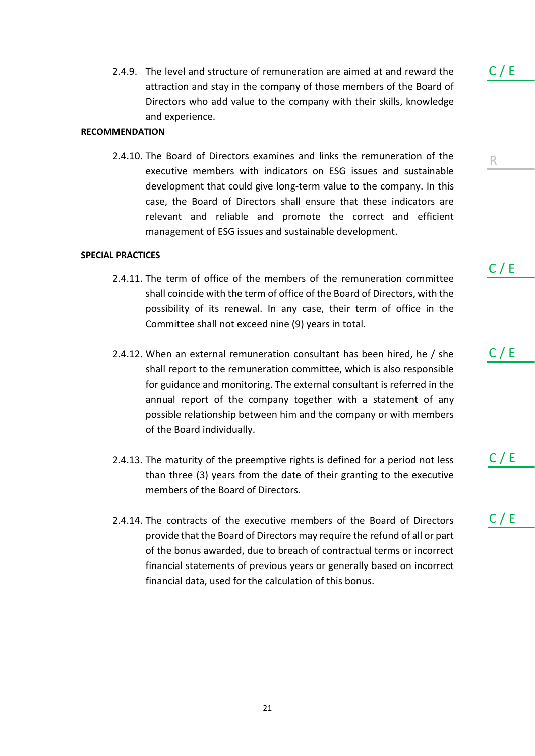2.4.9. The level and structure of remuneration are aimed at and reward the attraction and stay in the company of those members of the Board of Directors who add value to the company with their skills, knowledge and experience.

### **RECOMMENDATION**

2.4.10. The Board of Directors examines and links the remuneration of the executive members with indicators on ESG issues and sustainable development that could give long-term value to the company. In this case, the Board of Directors shall ensure that these indicators are relevant and reliable and promote the correct and efficient management of ESG issues and sustainable development.

### **SPECIAL PRACTICES**

- 2.4.11. The term of office of the members of the remuneration committee shall coincide with the term of office of the Board of Directors, with the possibility of its renewal. In any case, their term of office in the Committee shall not exceed nine (9) years in total.
- 2.4.12. When an external remuneration consultant has been hired, he / she shall report to the remuneration committee, which is also responsible for guidance and monitoring. The external consultant is referred in the annual report of the company together with a statement of any possible relationship between him and the company or with members of the Board individually.
- 2.4.13. The maturity of the preemptive rights is defined for a period not less than three (3) years from the date of their granting to the executive members of the Board of Directors.
- 2.4.14. The contracts of the executive members of the Board of Directors provide that the Board of Directors may require the refund of all or part of the bonus awarded, due to breach of contractual terms or incorrect financial statements of previous years or generally based on incorrect financial data, used for the calculation of this bonus.

 $C / E$ 

R

C / E

C / E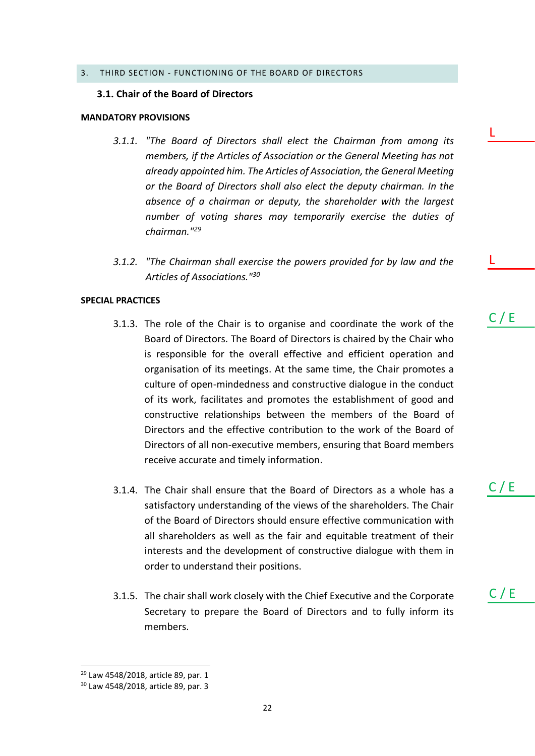### <span id="page-21-0"></span>3. THIRD SECTION - FUNCTIONING OF THE BOARD OF DIRECTORS

### **3.1. Chair of the Board of Directors**

### **MANDATORY PROVISIONS**

- *3.1.1. "The Board of Directors shall elect the Chairman from among its members, if the Articles of Association or the General Meeting has not already appointed him. The Articles of Association, the General Meeting or the Board of Directors shall also elect the deputy chairman. In the absence of a chairman or deputy, the shareholder with the largest number of voting shares may temporarily exercise the duties of chairman."<sup>29</sup>*
- *3.1.2. "The Chairman shall exercise the powers provided for by law and the Articles of Associations."<sup>30</sup>*

### **SPECIAL PRACTICES**

- 3.1.3. The role of the Chair is to organise and coordinate the work of the Board of Directors. The Board of Directors is chaired by the Chair who is responsible for the overall effective and efficient operation and organisation of its meetings. At the same time, the Chair promotes a culture of open-mindedness and constructive dialogue in the conduct of its work, facilitates and promotes the establishment of good and constructive relationships between the members of the Board of Directors and the effective contribution to the work of the Board of Directors of all non-executive members, ensuring that Board members receive accurate and timely information.
- 3.1.4. The Chair shall ensure that the Board of Directors as a whole has a satisfactory understanding of the views of the shareholders. The Chair of the Board of Directors should ensure effective communication with all shareholders as well as the fair and equitable treatment of their interests and the development of constructive dialogue with them in order to understand their positions.
- 3.1.5. The chair shall work closely with the Chief Executive and the Corporate Secretary to prepare the Board of Directors and to fully inform its members.

C / E

 $C / E$ 

C / E

L

L

<sup>&</sup>lt;sup>29</sup> Law 4548/2018, article 89, par. 1

<sup>30</sup> Law 4548/2018, article 89, par. 3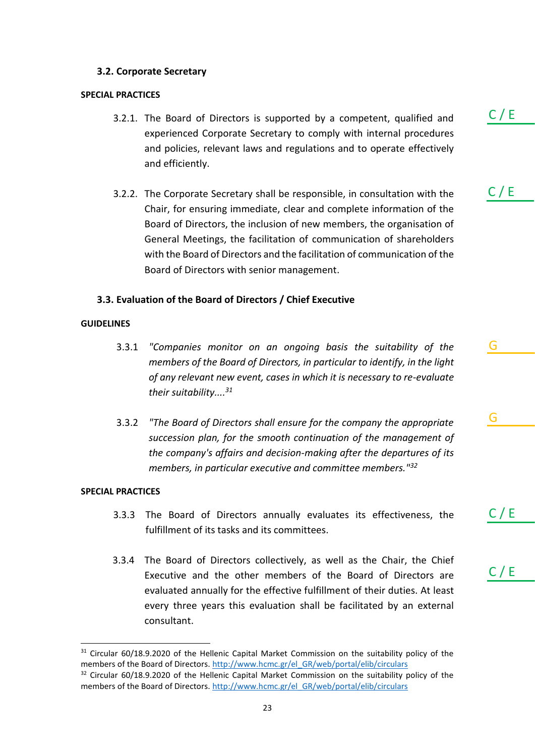### **3.2. Corporate Secretary**

### **SPECIAL PRACTICES**

- 3.2.1. The Board of Directors is supported by a competent, qualified and experienced Corporate Secretary to comply with internal procedures and policies, relevant laws and regulations and to operate effectively and efficiently.
- 3.2.2. The Corporate Secretary shall be responsible, in consultation with the Chair, for ensuring immediate, clear and complete information of the Board of Directors, the inclusion of new members, the organisation of General Meetings, the facilitation of communication of shareholders with the Board of Directors and the facilitation of communication of the Board of Directors with senior management.

### **3.3. Evaluation of the Board of Directors / Chief Executive**

### **GUIDELINES**

- 3.3.1 *"Companies monitor on an ongoing basis the suitability of the members of the Board of Directors, in particular to identify, in the light of any relevant new event, cases in which it is necessary to re-evaluate their suitability.... 31*
- 3.3.2 *"The Board of Directors shall ensure for the company the appropriate succession plan, for the smooth continuation of the management of the company's affairs and decision-making after the departures of its members, in particular executive and committee members."<sup>32</sup>*

### **SPECIAL PRACTICES**

- 3.3.3 The Board of Directors annually evaluates its effectiveness, the fulfillment of its tasks and its committees.
- 3.3.4 The Board of Directors collectively, as well as the Chair, the Chief Executive and the other members of the Board of Directors are evaluated annually for the effective fulfillment of their duties. At least every three years this evaluation shall be facilitated by an external consultant.

C / E

G

G

C / E

<sup>&</sup>lt;sup>31</sup> Circular 60/18.9.2020 of the Hellenic Capital Market Commission on the suitability policy of the members of the Board of Directors. [http://www.hcmc.gr/el\\_GR/web/portal/elib/circulars](http://www.hcmc.gr/el_GR/web/portal/elib/circulars)

 $32$  Circular 60/18.9.2020 of the Hellenic Capital Market Commission on the suitability policy of the members of the Board of Directors. [http://www.hcmc.gr/el\\_GR/web/portal/elib/circulars](http://www.hcmc.gr/el_GR/web/portal/elib/circulars)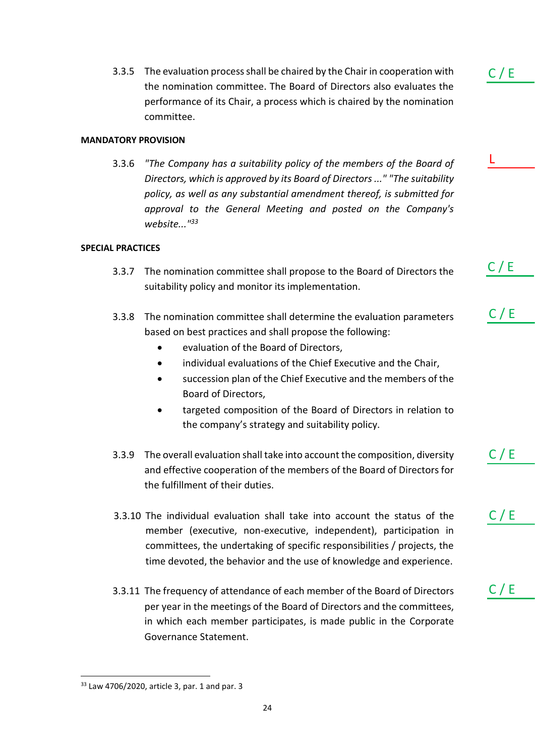3.3.5 The evaluation process shall be chaired by the Chair in cooperation with the nomination committee. The Board of Directors also evaluates the performance of its Chair, a process which is chaired by the nomination committee.

### **MANDATORY PROVISION**

3.3.6 *"The Company has a suitability policy of the members of the Board of Directors, which is approved by its Board of Directors ..." "The suitability policy, as well as any substantial amendment thereof, is submitted for approval to the General Meeting and posted on the Company's website..."<sup>33</sup>*

### **SPECIAL PRACTICES**

- 3.3.7 The nomination committee shall propose to the Board of Directors the suitability policy and monitor its implementation.
- 3.3.8 The nomination committee shall determine the evaluation parameters based on best practices and shall propose the following:
	- evaluation of the Board of Directors,
	- individual evaluations of the Chief Executive and the Chair,
	- succession plan of the Chief Executive and the members of the Board of Directors,
	- targeted composition of the Board of Directors in relation to the company's strategy and suitability policy.
- 3.3.9 The overall evaluation shall take into account the composition, diversity and effective cooperation of the members of the Board of Directors for the fulfillment of their duties.
- 3.3.10 The individual evaluation shall take into account the status of the member (executive, non-executive, independent), participation in committees, the undertaking of specific responsibilities / projects, the time devoted, the behavior and the use of knowledge and experience.
- 3.3.11 The frequency of attendance of each member of the Board of Directors per year in the meetings of the Board of Directors and the committees, in which each member participates, is made public in the Corporate Governance Statement.

 $C / E$ 

 $C / E$ 

L

 $C / E$ 

C / E

 $C / E$ 

<sup>33</sup> Law 4706/2020, article 3, par. 1 and par. 3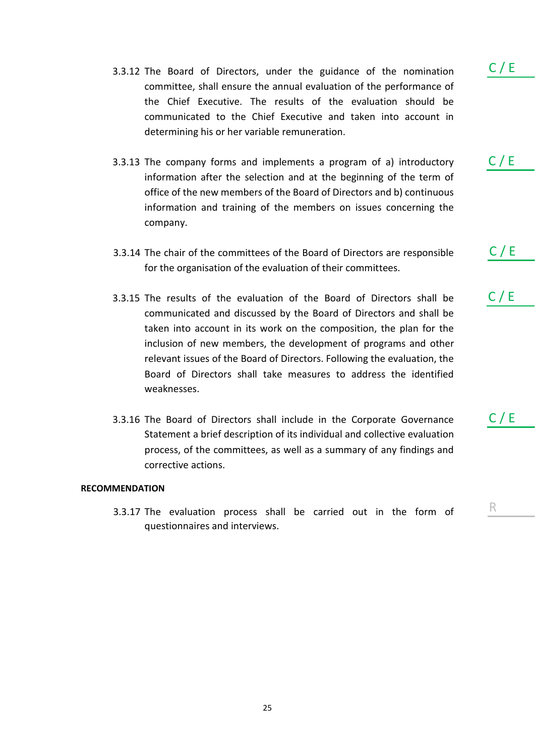- 3.3.12 The Board of Directors, under the guidance of the nomination committee, shall ensure the annual evaluation of the performance of the Chief Executive. The results of the evaluation should be communicated to the Chief Executive and taken into account in determining his or her variable remuneration.
- 3.3.13 The company forms and implements a program of a) introductory information after the selection and at the beginning of the term of office of the new members of the Board of Directors and b) continuous information and training of the members on issues concerning the company.
- 3.3.14 The chair of the committees of the Board of Directors are responsible for the organisation of the evaluation of their committees.
- 3.3.15 The results of the evaluation of the Board of Directors shall be communicated and discussed by the Board of Directors and shall be taken into account in its work on the composition, the plan for the inclusion of new members, the development of programs and other relevant issues of the Board of Directors. Following the evaluation, the Board of Directors shall take measures to address the identified weaknesses.
- 3.3.16 The Board of Directors shall include in the Corporate Governance Statement a brief description of its individual and collective evaluation process, of the committees, as well as a summary of any findings and corrective actions.

### **RECOMMENDATION**

3.3.17 The evaluation process shall be carried out in the form of questionnaires and interviews.

 $C / E$ 

R

 $C / E$ 

 $C / E$ 

 $C / E$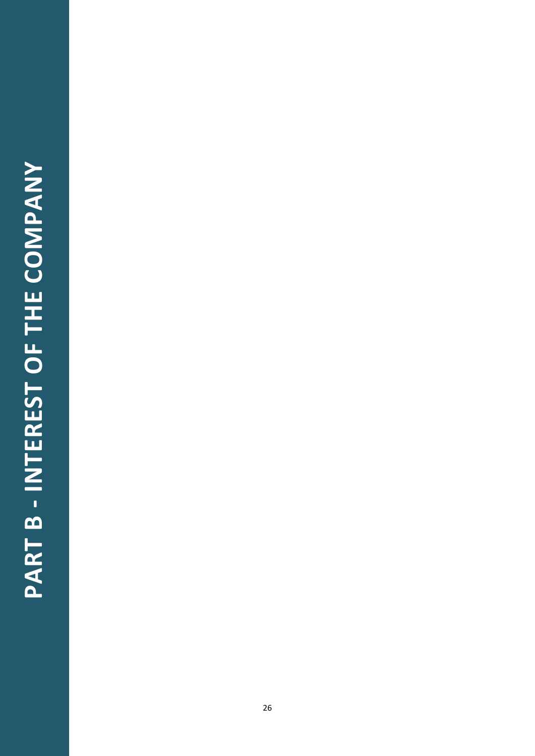### PART B - INTEREST OF THE COMPANY **PART B - INTEREST OF THE COMPANY**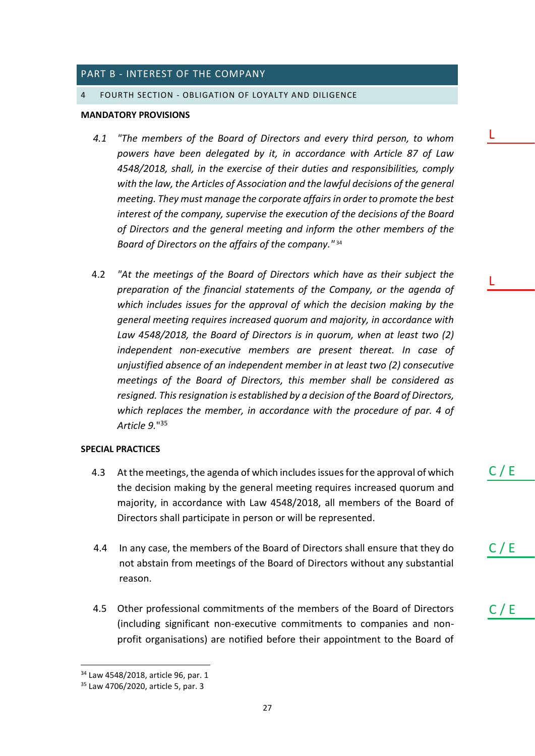### <span id="page-26-0"></span>PART B - INTEREST OF THE COMPANY

### <span id="page-26-1"></span>4 FOURTH SECTION - OBLIGATION OF LOYALTY AND DILIGENCE

### **MANDATORY PROVISIONS**

- *4.1 "The members of the Board of Directors and every third person, to whom powers have been delegated by it, in accordance with Article 87 of Law 4548/2018, shall, in the exercise of their duties and responsibilities, comply*  with the law, the Articles of Association and the lawful decisions of the general *meeting. They must manage the corporate affairs in order to promote the best interest of the company, supervise the execution of the decisions of the Board of Directors and the general meeting and inform the other members of the Board of Directors on the affairs of the company."* <sup>34</sup>
- 4.2 *"At the meetings of the Board of Directors which have as their subject the preparation of the financial statements of the Company, or the agenda of which includes issues for the approval of which the decision making by the general meeting requires increased quorum and majority, in accordance with Law 4548/2018, the Board of Directors is in quorum, when at least two (2) independent non-executive members are present thereat. In case of unjustified absence of an independent member in at least two (2) consecutive meetings of the Board of Directors, this member shall be considered as resigned. This resignation is established by a decision of the Board of Directors,*  which replaces the member, in accordance with the procedure of par. 4 of *Article 9.*" 35

### **SPECIAL PRACTICES**

- 4.3 At the meetings, the agenda of which includes issues for the approval of which the decision making by the general meeting requires increased quorum and majority, in accordance with Law 4548/2018, all members of the Board of Directors shall participate in person or will be represented.
- 4.4 In any case, the members of the Board of Directors shall ensure that they do not abstain from meetings of the Board of Directors without any substantial reason.
- 4.5 Other professional commitments of the members of the Board of Directors (including significant non-executive commitments to companies and nonprofit organisations) are notified before their appointment to the Board of

C / E

C / E

 $C / E$ 

L

L

<sup>&</sup>lt;sup>34</sup> Law 4548/2018, article 96, par. 1

<sup>35</sup> Law 4706/2020, article 5, par. 3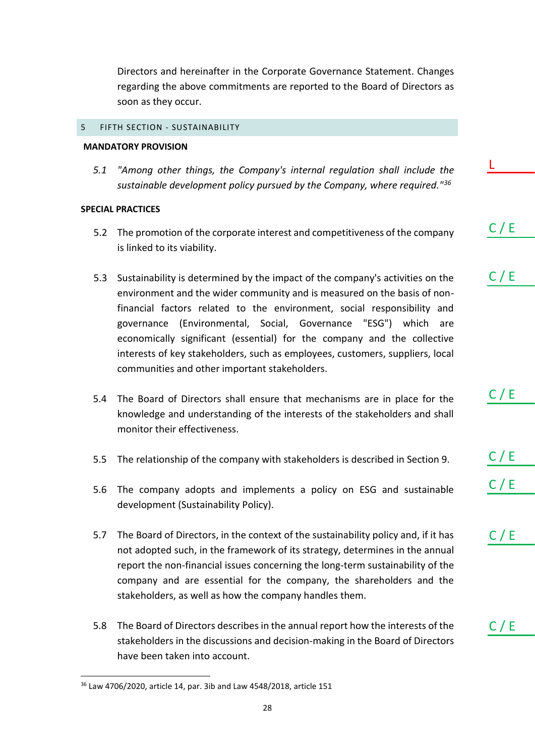Directors and hereinafter in the Corporate Governance Statement. Changes regarding the above commitments are reported to the Board of Directors as soon as they occur.

### <span id="page-27-0"></span>5 FIFTH SECTION - SUSTAINABILITY

### **MANDATORY PROVISION**

*5.1 "Among other things, the Company's internal regulation shall include the sustainable development policy pursued by the Company, where required."<sup>36</sup>*

L

C / E

 $C / E$ 

 $C / E$ 

 $C / E$ 

 $C / E$ 

 $C / E$ 

 $C / E$ 

### **SPECIAL PRACTICES**

- 5.2 The promotion of the corporate interest and competitiveness of the company is linked to its viability.
- 5.3 Sustainability is determined by the impact of the company's activities on the environment and the wider community and is measured on the basis of nonfinancial factors related to the environment, social responsibility and governance (Environmental, Social, Governance "ESG") which are economically significant (essential) for the company and the collective interests of key stakeholders, such as employees, customers, suppliers, local communities and other important stakeholders.
- 5.4 The Board of Directors shall ensure that mechanisms are in place for the knowledge and understanding of the interests of the stakeholders and shall monitor their effectiveness.
- 5.5 The relationship of the company with stakeholders is described in Section 9.
- 5.6 The company adopts and implements a policy on ESG and sustainable development (Sustainability Policy).
- 5.7 The Board of Directors, in the context of the sustainability policy and, if it has not adopted such, in the framework of its strategy, determines in the annual report the non-financial issues concerning the long-term sustainability of the company and are essential for the company, the shareholders and the stakeholders, as well as how the company handles them.
- 5.8 The Board of Directors describes in the annual report how the interests of the stakeholders in the discussions and decision-making in the Board of Directors have been taken into account.

<sup>36</sup> Law 4706/2020, article 14, par. 3ib and Law 4548/2018, article 151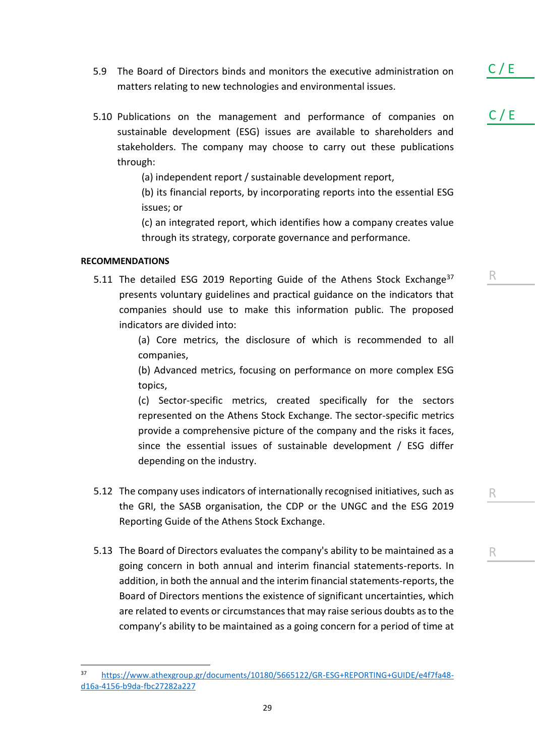- 5.9 The Board of Directors binds and monitors the executive administration on matters relating to new technologies and environmental issues.
- 5.10 Publications on the management and performance of companies on sustainable development (ESG) issues are available to shareholders and stakeholders. The company may choose to carry out these publications through:

(a) independent report / sustainable development report,

(b) its financial reports, by incorporating reports into the essential ESG issues; or

(c) an integrated report, which identifies how a company creates value through its strategy, corporate governance and performance.

### **RECOMMENDATIONS**

5.11 The detailed ESG 2019 Reporting Guide of the Athens Stock Exchange<sup>37</sup> presents voluntary guidelines and practical guidance on the indicators that companies should use to make this information public. The proposed indicators are divided into:

> (a) Core metrics, the disclosure of which is recommended to all companies,

> (b) Advanced metrics, focusing on performance on more complex ESG topics,

> (c) Sector-specific metrics, created specifically for the sectors represented on the Athens Stock Exchange. The sector-specific metrics provide a comprehensive picture of the company and the risks it faces, since the essential issues of sustainable development / ESG differ depending on the industry.

- 5.12 The company uses indicators of internationally recognised initiatives, such as the GRI, the SASB organisation, the CDP or the UNGC and the ESG 2019 Reporting Guide of the Athens Stock Exchange.
- 5.13 The Board of Directors evaluates the company's ability to be maintained as a going concern in both annual and interim financial statements-reports. In addition, in both the annual and the interim financial statements-reports, the Board of Directors mentions the existence of significant uncertainties, which are related to events or circumstances that may raise serious doubts as to the company's ability to be maintained as a going concern for a period of time at

 $C / E$ 

 $C / E$ 

R

R

<sup>37</sup> [https://www.athexgroup.gr/documents/10180/5665122/GR-ESG+REPORTING+GUIDE/e4f7fa48](https://www.athexgroup.gr/documents/10180/5665122/GR-ESG+REPORTING+GUIDE/e4f7fa48-d16a-4156-b9da-fbc27282a227) [d16a-4156-b9da-fbc27282a227](https://www.athexgroup.gr/documents/10180/5665122/GR-ESG+REPORTING+GUIDE/e4f7fa48-d16a-4156-b9da-fbc27282a227)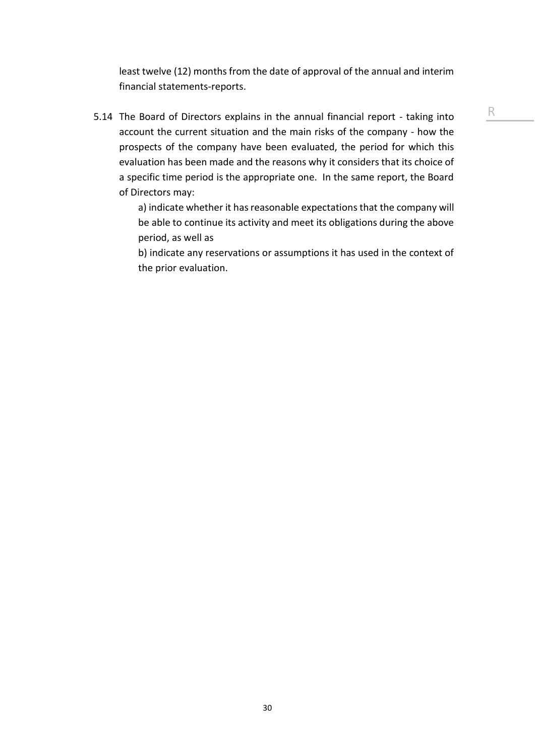least twelve (12) months from the date of approval of the annual and interim financial statements-reports.

5.14 The Board of Directors explains in the annual financial report - taking into account the current situation and the main risks of the company - how the prospects of the company have been evaluated, the period for which this evaluation has been made and the reasons why it considers that its choice of a specific time period is the appropriate one. In the same report, the Board of Directors may:

> a) indicate whether it has reasonable expectations that the company will be able to continue its activity and meet its obligations during the above period, as well as

> b) indicate any reservations or assumptions it has used in the context of the prior evaluation.

R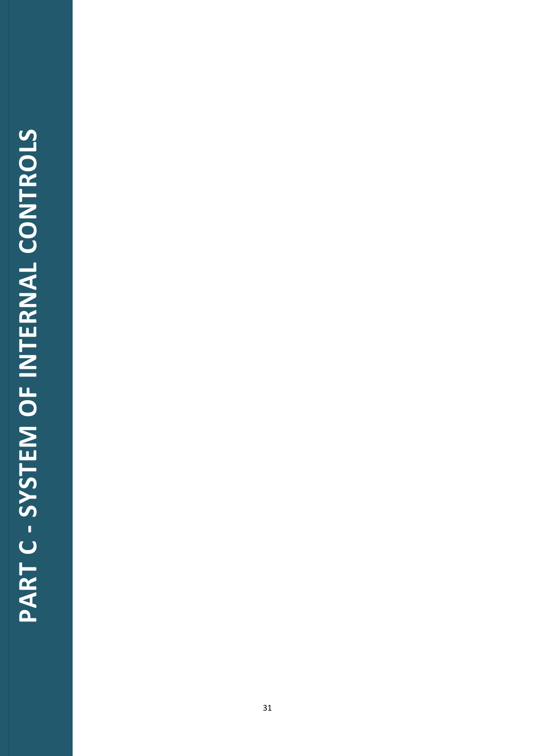# PART C - SYSTEM OF INTERNAL CONTROLS **PART C - SYSTEM OF INTERNAL CONTROLS**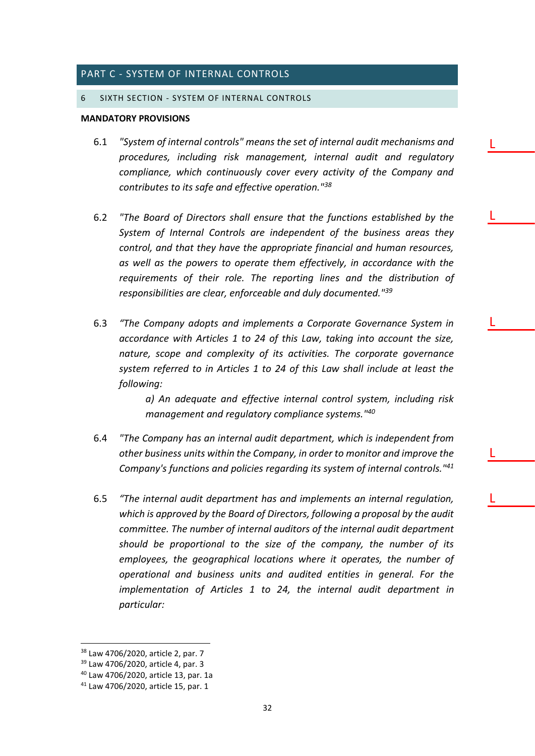### <span id="page-31-0"></span>PART C - SYSTEM OF INTERNAL CONTROLS

### <span id="page-31-1"></span>6 SIXTH SECTION - SYSTEM OF INTERNAL CONTROLS

### **MANDATORY PROVISIONS**

6.1 *"System of internal controls" means the set of internal audit mechanisms and procedures, including risk management, internal audit and regulatory compliance, which continuously cover every activity of the Company and contributes to its safe and effective operation."<sup>38</sup>*

L

L

L

L

L

- 6.2 *"The Board of Directors shall ensure that the functions established by the System of Internal Controls are independent of the business areas they control, and that they have the appropriate financial and human resources, as well as the powers to operate them effectively, in accordance with the requirements of their role. The reporting lines and the distribution of responsibilities are clear, enforceable and duly documented."<sup>39</sup>*
- 6.3 *"The Company adopts and implements a Corporate Governance System in accordance with Articles 1 to 24 of this Law, taking into account the size, nature, scope and complexity of its activities. The corporate governance system referred to in Articles 1 to 24 of this Law shall include at least the following:*

*a) An adequate and effective internal control system, including risk management and regulatory compliance systems."<sup>40</sup>*

- 6.4 *"The Company has an internal audit department, which is independent from other business units within the Company, in order to monitor and improve the Company's functions and policies regarding its system of internal controls."<sup>41</sup>*
- 6.5 *"The internal audit department has and implements an internal regulation, which is approved by the Board of Directors, following a proposal by the audit committee. The number of internal auditors of the internal audit department should be proportional to the size of the company, the number of its employees, the geographical locations where it operates, the number of operational and business units and audited entities in general. For the implementation of Articles 1 to 24, the internal audit department in particular:*

<sup>38</sup> Law 4706/2020, article 2, par. 7

<sup>39</sup> Law 4706/2020, article 4, par. 3

<sup>40</sup> Law 4706/2020, article 13, par. 1a

<sup>41</sup> Law 4706/2020, article 15, par. 1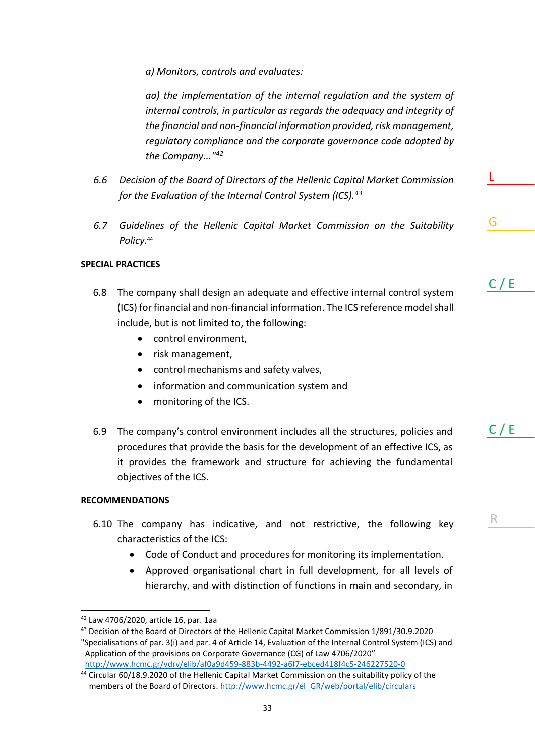*a) Monitors, controls and evaluates:*

*aa) the implementation of the internal regulation and the system of internal controls, in particular as regards the adequacy and integrity of the financial and non-financial information provided, risk management, regulatory compliance and the corporate governance code adopted by the Company..."<sup>42</sup>*

- *6.6 Decision of the Board of Directors of the Hellenic Capital Market Commission for the Evaluation of the Internal Control System (ICS).<sup>43</sup>*
- *6.7 Guidelines of the Hellenic Capital Market Commission on the Suitability Policy.*<sup>44</sup>

### **SPECIAL PRACTICES**

6.8 The company shall design an adequate and effective internal control system (ICS) for financial and non-financial information. The ICS reference model shall include, but is not limited to, the following:

 $C / E$ 

G

L

R

 $C / E$ 

- control environment,
- risk management,
- control mechanisms and safety valves,
- information and communication system and
- monitoring of the ICS.
- 6.9 The company's control environment includes all the structures, policies and procedures that provide the basis for the development of an effective ICS, as it provides the framework and structure for achieving the fundamental objectives of the ICS.

### **RECOMMENDATIONS**

- 6.10 The company has indicative, and not restrictive, the following key characteristics of the ICS:
	- Code of Conduct and procedures for monitoring its implementation.
	- Approved organisational chart in full development, for all levels of hierarchy, and with distinction of functions in main and secondary, in

33

<sup>42</sup> Law 4706/2020, article 16, par. 1aa

<sup>43</sup> Decision of the Board of Directors of the Hellenic Capital Market Commission 1/891/30.9.2020 "Specialisations of par. 3(i) and par. 4 of Article 14, Evaluation of the Internal Control System (ICS) and Application of the provisions on Corporate Governance (CG) of Law 4706/2020" <http://www.hcmc.gr/vdrv/elib/af0a9d459-883b-4492-a6f7-ebced418f4c5-246227520-0>

<sup>44</sup> Circular 60/18.9.2020 of the Hellenic Capital Market Commission on the suitability policy of the members of the Board of Directors. [http://www.hcmc.gr/el\\_GR/web/portal/elib/circulars](http://www.hcmc.gr/el_GR/web/portal/elib/circulars)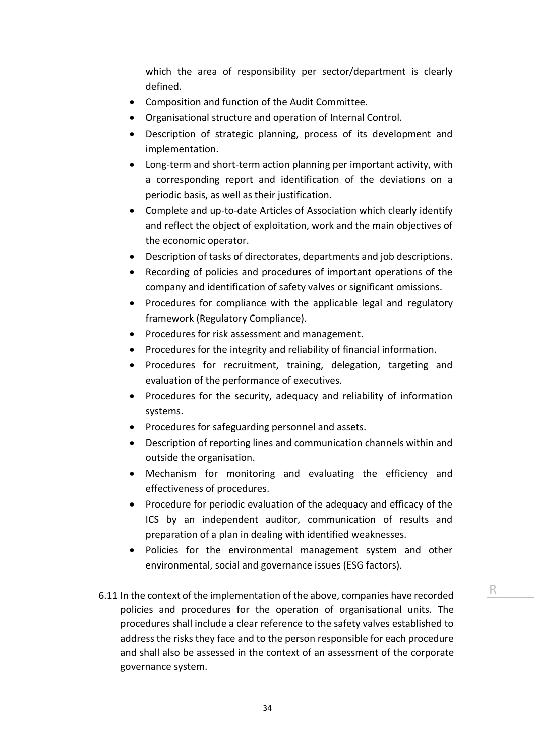which the area of responsibility per sector/department is clearly defined.

- Composition and function of the Audit Committee.
- Organisational structure and operation of Internal Control.
- Description of strategic planning, process of its development and implementation.
- Long-term and short-term action planning per important activity, with a corresponding report and identification of the deviations on a periodic basis, as well as their justification.
- Complete and up-to-date Articles of Association which clearly identify and reflect the object of exploitation, work and the main objectives of the economic operator.
- Description of tasks of directorates, departments and job descriptions.
- Recording of policies and procedures of important operations of the company and identification of safety valves or significant omissions.
- Procedures for compliance with the applicable legal and regulatory framework (Regulatory Compliance).
- Procedures for risk assessment and management.
- Procedures for the integrity and reliability of financial information.
- Procedures for recruitment, training, delegation, targeting and evaluation of the performance of executives.
- Procedures for the security, adequacy and reliability of information systems.
- Procedures for safeguarding personnel and assets.
- Description of reporting lines and communication channels within and outside the organisation.
- Mechanism for monitoring and evaluating the efficiency and effectiveness of procedures.
- Procedure for periodic evaluation of the adequacy and efficacy of the ICS by an independent auditor, communication of results and preparation of a plan in dealing with identified weaknesses.
- Policies for the environmental management system and other environmental, social and governance issues (ESG factors).
- 6.11 In the context of the implementation of the above, companies have recorded policies and procedures for the operation of organisational units. The procedures shall include a clear reference to the safety valves established to address the risks they face and to the person responsible for each procedure and shall also be assessed in the context of an assessment of the corporate governance system.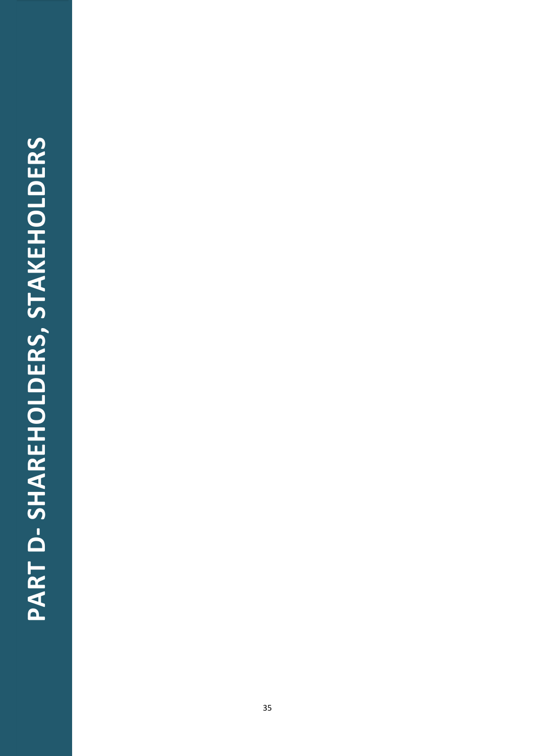## PART D-SHAREHOLDERS, STAKEHOLDERS **PART D- SHAREHOLDERS, STAKEHOLDERS**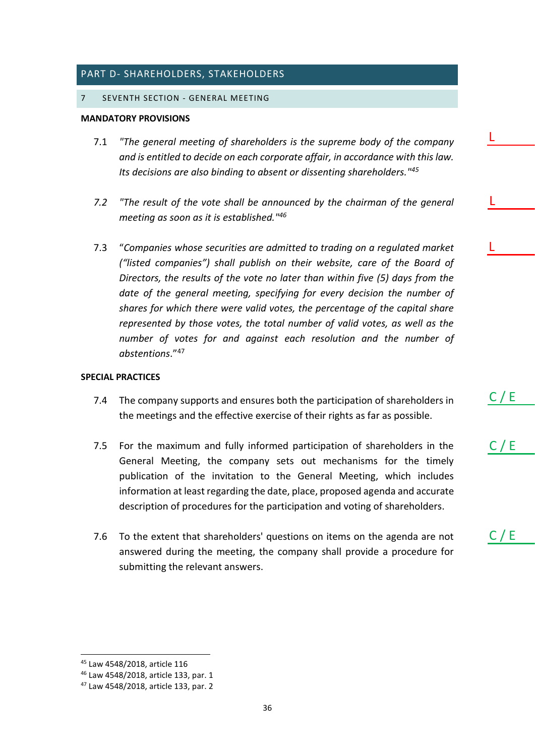### <span id="page-35-0"></span>PART D- SHAREHOLDERS, STAKEHOLDERS

### <span id="page-35-1"></span>7 SEVENTH SECTION - GENERAL MEETING

### **MANDATORY PROVISIONS**

- 7.1 *"The general meeting of shareholders is the supreme body of the company and is entitled to decide on each corporate affair, in accordance with this law. Its decisions are also binding to absent or dissenting shareholders."<sup>45</sup>*
- *7.2 "The result of the vote shall be announced by the chairman of the general meeting as soon as it is established."<sup>46</sup>*
- 7.3 "*Companies whose securities are admitted to trading on a regulated market ("listed companies") shall publish on their website, care of the Board of Directors, the results of the vote no later than within five (5) days from the date of the general meeting, specifying for every decision the number of shares for which there were valid votes, the percentage of the capital share represented by those votes, the total number of valid votes, as well as the number of votes for and against each resolution and the number of abstentions*."<sup>47</sup>

### **SPECIAL PRACTICES**

- 7.4 The company supports and ensures both the participation of shareholders in the meetings and the effective exercise of their rights as far as possible.
- 7.5 For the maximum and fully informed participation of shareholders in the General Meeting, the company sets out mechanisms for the timely publication of the invitation to the General Meeting, which includes information at least regarding the date, place, proposed agenda and accurate description of procedures for the participation and voting of shareholders.
- 7.6 To the extent that shareholders' questions on items on the agenda are not answered during the meeting, the company shall provide a procedure for submitting the relevant answers.

 $C / E$ 

L

L

L

 $C / E$ 

<sup>45</sup> Law 4548/2018, article 116

<sup>46</sup> Law 4548/2018, article 133, par. 1

<sup>47</sup> Law 4548/2018, article 133, par. 2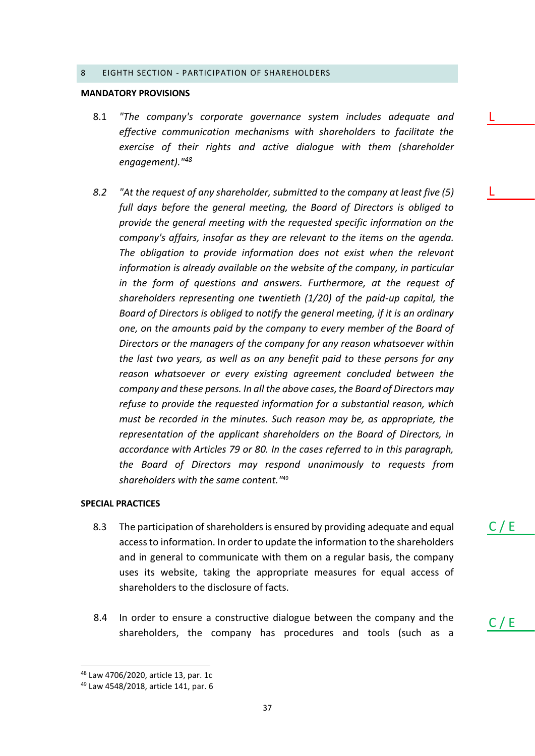### <span id="page-36-0"></span>8 EIGHTH SECTION - PARTICIPATION OF SHAREHOLDERS

### **MANDATORY PROVISIONS**

- 8.1 *"The company's corporate governance system includes adequate and effective communication mechanisms with shareholders to facilitate the exercise of their rights and active dialogue with them (shareholder engagement)."<sup>48</sup>*
- *8.2 "At the request of any shareholder, submitted to the company at least five (5) full days before the general meeting, the Board of Directors is obliged to provide the general meeting with the requested specific information on the company's affairs, insofar as they are relevant to the items on the agenda. The obligation to provide information does not exist when the relevant information is already available on the website of the company, in particular in the form of questions and answers. Furthermore, at the request of shareholders representing one twentieth (1/20) of the paid-up capital, the Board of Directors is obliged to notify the general meeting, if it is an ordinary one, on the amounts paid by the company to every member of the Board of Directors or the managers of the company for any reason whatsoever within the last two years, as well as on any benefit paid to these persons for any reason whatsoever or every existing agreement concluded between the company and these persons. In all the above cases, the Board of Directors may refuse to provide the requested information for a substantial reason, which must be recorded in the minutes. Such reason may be, as appropriate, the representation of the applicant shareholders on the Board of Directors, in accordance with Articles 79 or 80. In the cases referred to in this paragraph, the Board of Directors may respond unanimously to requests from shareholders with the same content."*<sup>49</sup>

### **SPECIAL PRACTICES**

- 8.3 The participation of shareholders is ensured by providing adequate and equal access to information. In order to update the information to the shareholders and in general to communicate with them on a regular basis, the company uses its website, taking the appropriate measures for equal access of shareholders to the disclosure of facts.
- 8.4 In order to ensure a constructive dialogue between the company and the shareholders, the company has procedures and tools (such as a

 $C / E$ 

 $C / E$ 

L

L

<sup>48</sup> Law 4706/2020, article 13, par. 1c

<sup>49</sup> Law 4548/2018, article 141, par. 6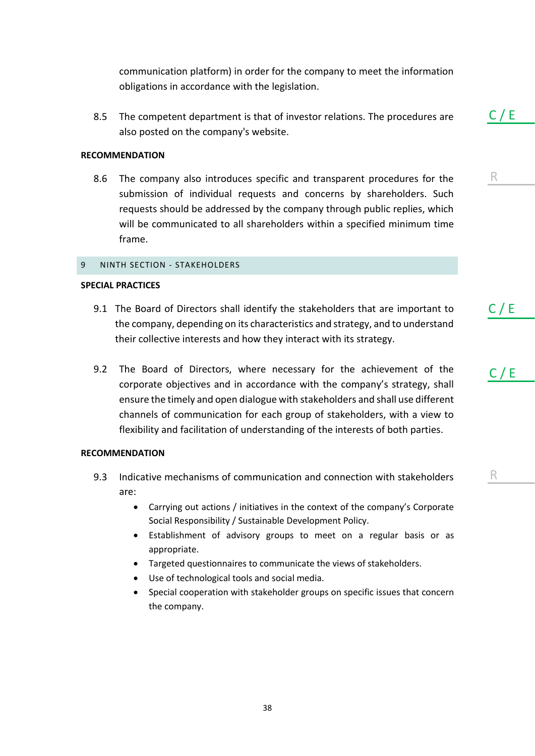communication platform) in order for the company to meet the information obligations in accordance with the legislation.

8.5 The competent department is that of investor relations. The procedures are also posted on the company's website.

### **RECOMMENDATION**

8.6 The company also introduces specific and transparent procedures for the submission of individual requests and concerns by shareholders. Such requests should be addressed by the company through public replies, which will be communicated to all shareholders within a specified minimum time frame.

### <span id="page-37-0"></span>9 NINTH SECTION - STAKEHOLDERS

### **SPECIAL PRACTICES**

- 9.1 The Board of Directors shall identify the stakeholders that are important to the company, depending on its characteristics and strategy, and to understand their collective interests and how they interact with its strategy.
- 9.2 The Board of Directors, where necessary for the achievement of the corporate objectives and in accordance with the company's strategy, shall ensure the timely and open dialogue with stakeholders and shall use different channels of communication for each group of stakeholders, with a view to flexibility and facilitation of understanding of the interests of both parties.

### **RECOMMENDATION**

- 9.3 Indicative mechanisms of communication and connection with stakeholders are:
	- Carrying out actions / initiatives in the context of the company's Corporate Social Responsibility / Sustainable Development Policy.
	- Establishment of advisory groups to meet on a regular basis or as appropriate.
	- Targeted questionnaires to communicate the views of stakeholders.
	- Use of technological tools and social media.
	- Special cooperation with stakeholder groups on specific issues that concern the company.

 $C / E$ 

R

C / E

C / E

R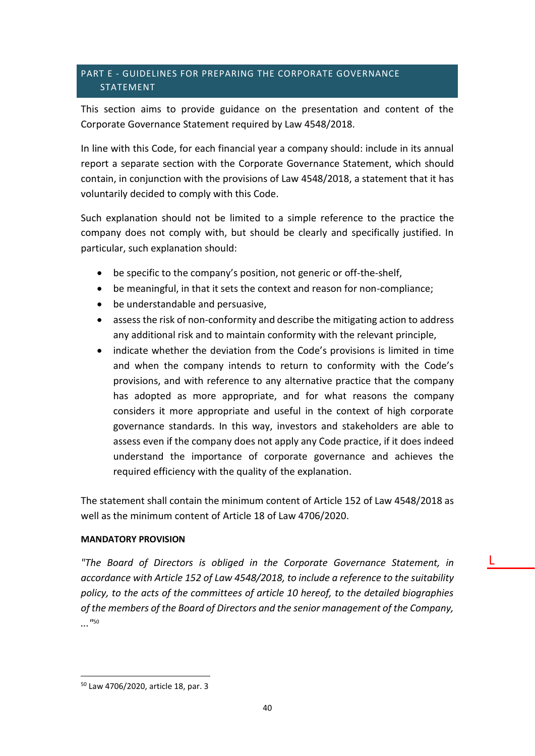### <span id="page-39-0"></span>PART E - GUIDELINES FOR PREPARING THE CORPORATE GOVERNANCE **STATEMENT**

This section aims to provide guidance on the presentation and content of the Corporate Governance Statement required by Law 4548/2018.

In line with this Code, for each financial year a company should: include in its annual report a separate section with the Corporate Governance Statement, which should contain, in conjunction with the provisions of Law 4548/2018, a statement that it has voluntarily decided to comply with this Code.

Such explanation should not be limited to a simple reference to the practice the company does not comply with, but should be clearly and specifically justified. In particular, such explanation should:

- be specific to the company's position, not generic or off-the-shelf,
- be meaningful, in that it sets the context and reason for non-compliance;
- be understandable and persuasive,
- assess the risk of non-conformity and describe the mitigating action to address any additional risk and to maintain conformity with the relevant principle,
- indicate whether the deviation from the Code's provisions is limited in time and when the company intends to return to conformity with the Code's provisions, and with reference to any alternative practice that the company has adopted as more appropriate, and for what reasons the company considers it more appropriate and useful in the context of high corporate governance standards. In this way, investors and stakeholders are able to assess even if the company does not apply any Code practice, if it does indeed understand the importance of corporate governance and achieves the required efficiency with the quality of the explanation.

The statement shall contain the minimum content of Article 152 of Law 4548/2018 as well as the minimum content of Article 18 of Law 4706/2020.

### **MANDATORY PROVISION**

*"The Board of Directors is obliged in the Corporate Governance Statement, in accordance with Article 152 of Law 4548/2018, to include a reference to the suitability policy, to the acts of the committees of article 10 hereof, to the detailed biographies of the members of the Board of Directors and the senior management of the Company, ..."* 50

L

<sup>50</sup> Law 4706/2020, article 18, par. 3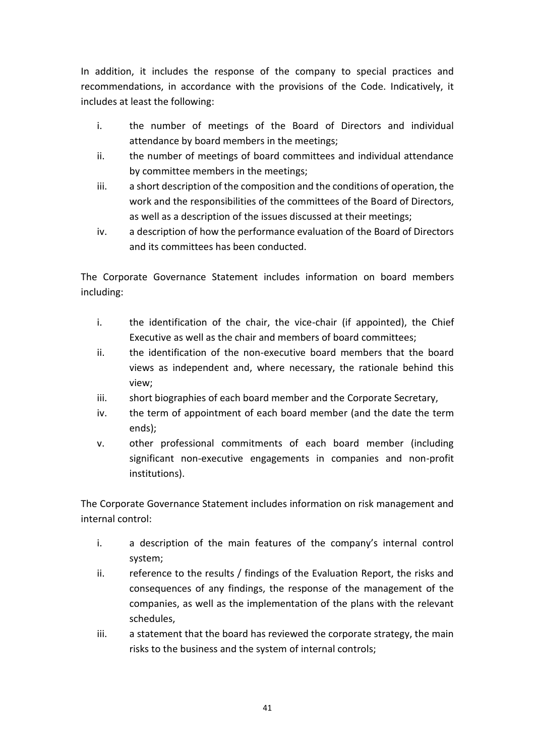In addition, it includes the response of the company to special practices and recommendations, in accordance with the provisions of the Code. Indicatively, it includes at least the following:

- i. the number of meetings of the Board of Directors and individual attendance by board members in the meetings;
- ii. the number of meetings of board committees and individual attendance by committee members in the meetings;
- iii. a short description of the composition and the conditions of operation, the work and the responsibilities of the committees of the Board of Directors, as well as a description of the issues discussed at their meetings;
- iv. a description of how the performance evaluation of the Board of Directors and its committees has been conducted.

The Corporate Governance Statement includes information on board members including:

- i. the identification of the chair, the vice-chair (if appointed), the Chief Executive as well as the chair and members of board committees;
- ii. the identification of the non-executive board members that the board views as independent and, where necessary, the rationale behind this view;
- iii. short biographies of each board member and the Corporate Secretary,
- iv. the term of appointment of each board member (and the date the term ends);
- v. other professional commitments of each board member (including significant non-executive engagements in companies and non-profit institutions).

The Corporate Governance Statement includes information on risk management and internal control:

- i. a description of the main features of the company's internal control system;
- ii. reference to the results / findings of the Evaluation Report, the risks and consequences of any findings, the response of the management of the companies, as well as the implementation of the plans with the relevant schedules,
- iii. a statement that the board has reviewed the corporate strategy, the main risks to the business and the system of internal controls;